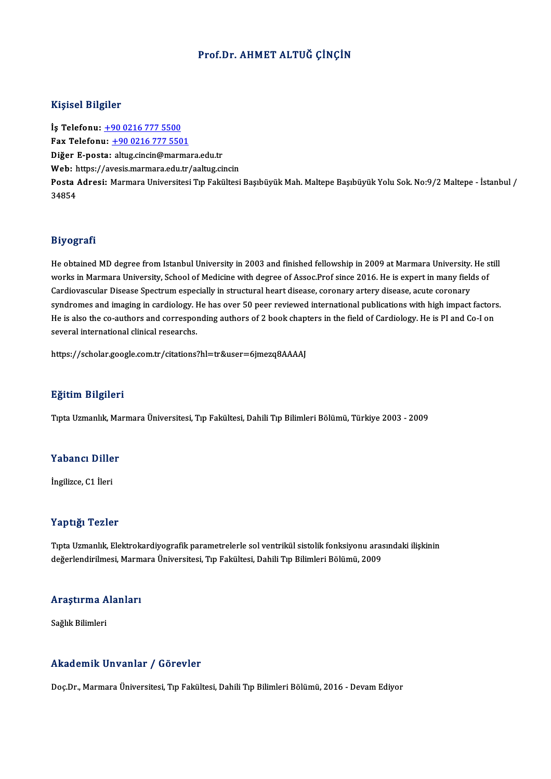#### Prof.Dr. AHMET ALTUĞ ÇİNÇİN

#### Kişisel Bilgiler

İş Telefonu: +90 0216 777 5500 Fax Telefonu:  $+9002167775501$ Diğer E-posta: [altug.cincin@marma](tel:+90 0216 777 5501)ra.edu.tr Web: https://avesis.marmara.edu.tr/aaltug.cincin Di<mark>ğer E-posta:</mark> altug.cincin@marmara.edu.tr<br>Web: https://avesis.marmara.edu.tr/aaltug.cincin<br>Posta Adresi: Marmara Universitesi Tıp Fakültesi Başıbüyük Mah. Maltepe Başıbüyük Yolu Sok. No:9/2 Maltepe - İstanbul / Web: 1<br>Posta 4<br>34854

#### Biyografi

**Biyografi**<br>He obtained MD degree from Istanbul University in 2003 and finished fellowship in 2009 at Marmara University. He still<br>works in Marmara University. School of Medicine with degree of Asses Bref since 2016. He is way oga arr<br>He obtained MD degree from Istanbul University in 2003 and finished fellowship in 2009 at Marmara University. He s<br>works in Marmara University, School of Medicine with degree of Assoc.Prof since 2016. He is exp He obtained MD degree from Istanbul University in 2003 and finished fellowship in 2009 at Marmara University.<br>works in Marmara University, School of Medicine with degree of Assoc.Prof since 2016. He is expert in many fiel<br> works in Marmara University, School of Medicine with degree of Assoc.Prof since 2016. He is expert in many fields of<br>Cardiovascular Disease Spectrum especially in structural heart disease, coronary artery disease, acute co Cardiovascular Disease Spectrum especially in structural heart disease, coronary artery disease, acute coronary<br>syndromes and imaging in cardiology. He has over 50 peer reviewed international publications with high impact syndromes and imaging in cardiology. I<br>He is also the co-authors and correspoi<br>several international clinical researchs. several international clinical researchs.<br>https://scholar.google.com.tr/citations?hl=tr&user=6jmezq8AAAAJ

#### Eğitim Bilgileri

Tıpta Uzmanlık, Marmara Üniversitesi, Tıp Fakültesi, Dahili Tıp Bilimleri Bölümü, Türkiye 2003 - 2009

## rıpta ozmanlık, ma<br>Yabancı Diller Y<mark>abancı Dille</mark><br>İngilizce, C1 İleri

# İngilizce, C1 İleri<br>Yaptığı Tezler

Yaptığı Tezler<br>Tıpta Uzmanlık, Elektrokardiyografik parametrelerle sol ventrikül sistolik fonksiyonu arasındaki ilişkinin<br>değerlendirilmesi Mermare Üniversitesi "Un Fekültesi Debili "Un Bilimleri Bölümü, 2009 r ap erger rezieer<br>Tıpta Uzmanlık, Elektrokardiyografik parametrelerle sol ventrikül sistolik fonksiyonu aras<br>değerlendirilmesi, Marmara Üniversitesi, Tıp Fakültesi, Dahili Tıp Bilimleri Bölümü, 2009

## uegerienun'ilmesi, marm<br>Araştırma Alanları <mark>Araştırma A</mark><br>Sağlık Bilimleri

# Akademik Unvanlar / Görevler

Doç.Dr., Marmara Üniversitesi, Tıp Fakültesi, Dahili Tıp Bilimleri Bölümü, 2016 - Devam Ediyor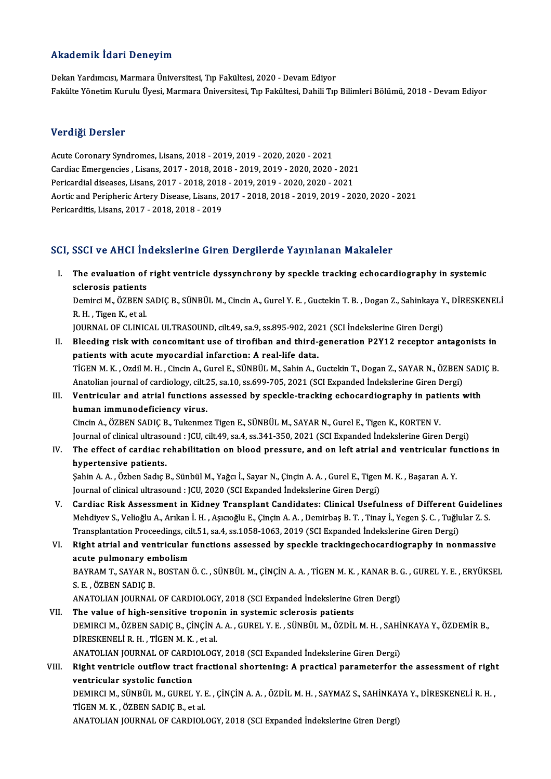#### Akademik İdari Deneyim

Dekan Yardımcısı, Marmara Üniversitesi, Tıp Fakültesi, 2020 - Devam Ediyor Fakülte Yönetim Kurulu Üyesi, Marmara Üniversitesi, Tıp Fakültesi, Dahili Tıp Bilimleri Bölümü, 2018 - Devam Ediyor

#### Verdiği Dersler

Acute Coronary Syndromes, Lisans, 2018 - 2019, 2019 - 2020, 2020 - 2021 Verlage Derster<br>Acute Coronary Syndromes, Lisans, 2018 - 2019, 2019 - 2020, 2020 - 2021<br>Cardiac Emergencies , Lisans, 2017 - 2018, 2018 - 2019, 2019 - 2020, 2020 - 2021<br>Perisondial diseases, Lisans, 2017 - 2018, 2018, 2019 Acute Coronary Syndromes, Lisans, 2018 - 2019, 2019 - 2020, 2020 - 2021<br>Cardiac Emergencies , Lisans, 2017 - 2018, 2018 - 2019, 2019 - 2020, 2020 - 2021<br>Pericardial diseases, Lisans, 2017 - 2018, 2018 - 2019, 2019 - 2020, Cardiac Emergencies , Lisans, 2017 - 2018, 2018 - 2019, 2019 - 2020, 2020 - 2021<br>Pericardial diseases, Lisans, 2017 - 2018, 2018 - 2019, 2019 - 2020, 2020 - 2021<br>Aortic and Peripheric Artery Disease, Lisans, 2017 - 2018, 2 Pericardial diseases, Lisans, 2017 - 2018, 2018<br>Aortic and Peripheric Artery Disease, Lisans, 2<br>Pericarditis, Lisans, 2017 - 2018, 2018 - 2019

# Pericarditis, Lisans, 2017 - 2018, 2018 - 2019<br>SCI, SSCI ve AHCI İndekslerine Giren Dergilerde Yayınlanan Makaleler

CI, SSCI ve AHCI İndekslerine Giren Dergilerde Yayınlanan Makaleler<br>I. The evaluation of right ventricle dyssynchrony by speckle tracking echocardiography in systemic<br>seleresis patients SCOT VOILLETING<br>The evaluation of<br>Sclerosis patients<br>Dominal OZEEN S The evaluation of right ventricle dyssynchrony by speckle tracking echocardiography in systemic<br>sclerosis patients<br>Demirci M., ÖZBEN SADIÇ B., SÜNBÜL M., Cincin A., Gurel Y. E. , Guctekin T. B. , Dogan Z., Sahinkaya Y., Dİ

sclerosis patients<br>Demirci M., ÖZBEN S.<br>R. H. , Tigen K., et al.<br>JOUPNAL OF GLINIC R. H. , Tigen K., et al.<br>JOURNAL OF CLINICAL ULTRASOUND, cilt.49, sa.9, ss.895-902, 2021 (SCI İndekslerine Giren Dergi)

R. H. , Tigen K., et al.<br>JOURNAL OF CLINICAL ULTRASOUND, cilt.49, sa.9, ss.895-902, 2021 (SCI Indekslerine Giren Dergi)<br>II. Bleeding risk with concomitant use of tirofiban and third-generation P2Y12 receptor antagonists in JOURNAL OF CLINICAL ULTRASOUND, cilt.49, sa.9, ss.895-902, 202<br>Bleeding risk with concomitant use of tirofiban and third-<br>patients with acute myocardial infarction: A real-life data.<br>TigEN M. K., Ordil M. H., Cingin A. Gur Bleeding risk with concomitant use of tirofiban and third-generation P2Y12 receptor antagonists in<br>patients with acute myocardial infarction: A real-life data.<br>TIGEN M. K. , Ozdil M. H. , Cincin A., Gurel E., SÜNBÜL M., Sa patients with acute myocardial infarction: A real-life data.<br>TİGEN M. K. , Ozdil M. H. , Cincin A., Gurel E., SÜNBÜL M., Sahin A., Guctekin T., Dogan Z., SAYAR N., ÖZBEN<br>Anatolian journal of cardiology, cilt.25, sa.10, ss.

## TİGEN M. K. , Ozdil M. H. , Cincin A., Gurel E., SÜNBÜL M., Sahin A., Guctekin T., Dogan Z., SAYAR N., ÖZBEN SADI<br>Anatolian journal of cardiology, cilt.25, sa.10, ss.699-705, 2021 (SCI Expanded Indekslerine Giren Dergi)<br>II Anatolian journal of cardiology, cilt.25, sa.10, ss.699-705, 2021 (SCI Expanded Indekslerine Giren Dergi)<br>Ventricular and atrial functions assessed by speckle-tracking echocardiography in patients<br>human immunodeficiency vi Ventricular and atrial functions assessed by speckle-tracking echocardiography in pati<br>human immunodeficiency virus.<br>Cincin A., ÖZBEN SADIÇ B., Tukenmez Tigen E., SÜNBÜL M., SAYAR N., Gurel E., Tigen K., KORTEN V.<br>Journal

Journal of clinical ultrasound : JCU, cilt.49, sa.4, ss.341-350, 2021 (SCI Expanded İndekslerine Giren Dergi) Cincin A., ÖZBEN SADIÇ B., Tukenmez Tigen E., SÜNBÜL M., SAYAR N., Gurel E., Tigen K., KORTEN V.<br>Journal of clinical ultrasound : JCU, cilt.49, sa.4, ss.341-350, 2021 (SCI Expanded Indekslerine Giren Dergi)<br>IV. The effect

Journal of clinical ultraso<br>The effect of cardiac re<br>hypertensive patients.<br>Sabin A.A. Ögban Sadie I The effect of cardiac rehabilitation on blood pressure, and on left atrial and ventricular fu<br>hypertensive patients.<br>Şahin A. A. , Özben Sadıç B., Sünbül M., Yağcı İ., Sayar N., Çinçin A. A. , Gurel E., Tigen M. K. , Başar

hypertensive patients.<br>Şahin A. A. , Özben Sadıç B., Sünbül M., Yağcı İ., Sayar N., Çinçin A. A. , Gurel E., Tigen M. K. , Başaran A. Y.<br>Journal of clinical ultrasound : JCU, 2020 (SCI Expanded İndekslerine Giren Dergi) Sahin A. A. , Özben Sadıç B., Sünbül M., Yağcı İ., Sayar N., Çinçin A. A. , Gurel E., Tigen M. K. , Başaran A. Y.<br>Journal of clinical ultrasound : JCU, 2020 (SCI Expanded Indekslerine Giren Dergi)<br>V. Cardiac Risk Assessmen

Journal of clinical ultrasound : JCU, 2020 (SCI Expanded İndekslerine Giren Dergi)<br>Cardiac Risk Assessment in Kidney Transplant Candidates: Clinical Usefulness of Different Guidelin<br>Mehdiyev S., Velioğlu A., Arıkan İ. H. , Cardiac Risk Assessment in Kidney Transplant Candidates: Clinical Usefulness of Different (<br>Mehdiyev S., Velioğlu A., Arıkan İ. H. , Aşıcıoğlu E., Çinçin A. A. , Demirbaş B. T. , Tinay İ., Yegen Ş. C. , Tuğlu<br>Transplantati Mehdiyev S., Velioğlu A., Arıkan İ. H. , Aşıcıoğlu E., Çinçin A. A. , Demirbaş B. T. , Tinay İ., Yegen Ş. C. , Tuğlular Z. S.<br>Transplantation Proceedings, cilt.51, sa.4, ss.1058-1063, 2019 (SCI Expanded İndekslerine Giren Transplantation Proceedings, cilt.51, sa.4, ss.1058-1063, 2019 (SCI Expanded İndekslerine Giren Dergi)

Right atrial and ventricular functions assessed by speckle trackingechocardiography in nonmassive<br>acute pulmonary embolism<br>BAYRAM T., SAYAR N., BOSTAN Ö. C. , SÜNBÜL M., ÇİNÇİN A. A. , TİGEN M. K. , KANAR B. G. , GUREL Y. acute pulmonary en<br>BAYRAM T., SAYAR N.,<br>S. E. , ÖZBEN SADIÇ B.<br>ANATOLIAN IQUPNAL BAYRAM T., SAYAR N., BOSTAN Ö. C. , SÜNBÜL M., ÇİNÇİN A. A. , TİGEN M. K. , KANAR B. (<br>S. E. , ÖZBEN SADIÇ B.<br>ANATOLIAN JOURNAL OF CARDIOLOGY, 2018 (SCI Expanded İndekslerine Giren Dergi)<br>The value of high sensitive tropon

S. E., ÖZBEN SADIÇ B.<br>ANATOLIAN JOURNAL OF CARDIOLOGY, 2018 (SCI Expanded Indekslerine C<br>VII. The value of high-sensitive troponin in systemic sclerosis patients<br>DEMIRCLM ÖZPEN SADIC B. CINCIN A.A. CUBEL V. E. SÜNBÜLM ÖZDİ ANATOLIAN JOURNAL OF CARDIOLOGY, 2018 (SCI Expanded İndekslerine Giren Dergi)<br>The value of high-sensitive troponin in systemic sclerosis patients<br>DEMIRCI M., ÖZBEN SADIÇ B., ÇİNÇİN A. A. , GUREL Y. E. , SÜNBÜL M., ÖZDİL M. The value of high-sensitive troponin in systemic sclerosis patients<br>DEMIRCI M., ÖZBEN SADIÇ B., ÇİNÇİN A.A., GUREL Y.E., SÜNBÜL M., ÖZDİI<br>DİRESKENELİ R.H., TİGEN M.K., et al. DEMIRCI M., ÖZBEN SADIÇ B., ÇİNÇİN A. A. , GUREL Y. E. , SÜNBÜL M., ÖZDİL M. H. , SAHİ<br>DİRESKENELİ R. H. , TİGEN M. K. , et al.<br>ANATOLIAN JOURNAL OF CARDIOLOGY, 2018 (SCI Expanded İndekslerine Giren Dergi)<br>Bisht ventrisle ANATOLIAN JOURNAL OF CARDIOLOGY, 2018 (SCI Expanded Indekslerine Giren Dergi)

### VIII. Right ventricle outflow tract fractional shortening: A practical parameterfor the assessment of right ventricular systolic function Right ventricle outflow tract fractional shortening: A practical parameterfor the assessment of righ<br>ventricular systolic function<br>DEMIRCI M., SÜNBÜL M., GUREL Y. E. , ÇİNÇİN A. A. , ÖZDİL M. H. , SAYMAZ S., SAHİNKAYA Y.,

ventricular systolic function<br>DEMIRCI M., SÜNBÜL M., GUREL Y. I<br>TİGEN M. K. , ÖZBEN SADIÇ B., et al.<br>ANATOLIAN JOUPNAL OE CARDIQI

TİGEN M. K. , ÖZBEN SADIÇ B., et al.<br>ANATOLIAN JOURNAL OF CARDIOLOGY, 2018 (SCI Expanded İndekslerine Giren Dergi)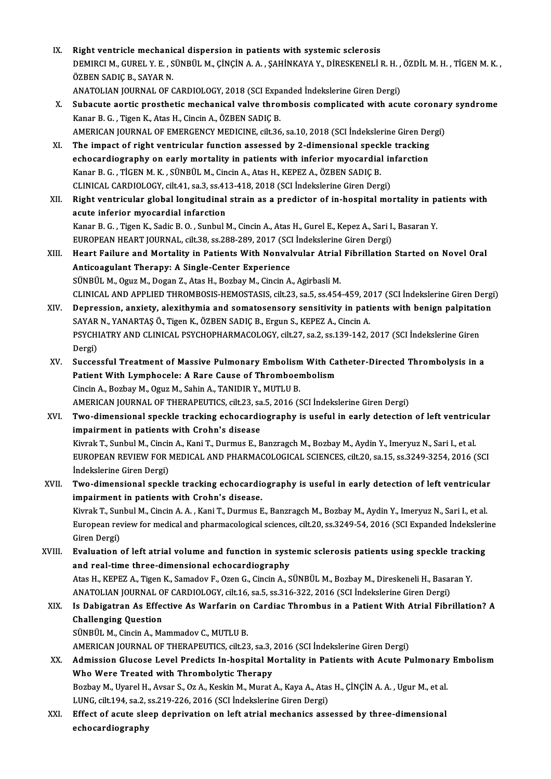- IX. Right ventricle mechanical dispersion in patients with systemic sclerosis<br>NEMIDCLM CURELLY E. SÜNRÜLM CINCIN A A. SAHINKAVA V. DIRESKENELLI Right ventricle mechanical dispersion in patients with systemic sclerosis<br>DEMIRCI M., GUREL Y. E. , SÜNBÜL M., ÇİNÇİN A. A. , ŞAHİNKAYA Y., DİRESKENELİ R. H. , ÖZDİL M. H. , TİGEN M. K.<br>ÖZREN SADIÇ R. SAYAR N Right ventricle mechani<br>DEMIRCI M., GUREL Y. E. , S<br>ÖZBEN SADIÇ B., SAYAR N.<br>ANATOLIAN IOUPNAL OF C DEMIRCI M., GUREL Y. E. , SÜNBÜL M., ÇİNÇİN A. A. , ŞAHİNKAYA Y., DİRESKENELİ R. H. ,<br>ÖZBEN SADIÇ B., SAYAR N.<br>ANATOLIAN JOURNAL OF CARDIOLOGY, 2018 (SCI Expanded İndekslerine Giren Dergi)<br>Subaquta aartis prasthatis mashan ÖZBEN SADIÇ B., SAYAR N.<br>ANATOLIAN JOURNAL OF CARDIOLOGY, 2018 (SCI Expanded Indekslerine Giren Dergi)<br>X. Subacute aortic prosthetic mechanical valve thrombosis complicated with acute coronary syndrome<br>Kanar B. G. Tigan K.
- ANATOLIAN JOURNAL OF CARDIOLOGY, 2018 (SCI Expanded Indekslerine Giren Dergi)<br>Subacute aortic prosthetic mechanical valve thrombosis complicated with acu<br>Kanar B. G. , Tigen K., Atas H., Cincin A., ÖZBEN SADIÇ B. Subacute aortic prosthetic mechanical valve thrombosis complicated with acute coronar<br>Kanar B. G. , Tigen K., Atas H., Cincin A., ÖZBEN SADIÇ B.<br>AMERICAN JOURNAL OF EMERGENCY MEDICINE, cilt.36, sa.10, 2018 (SCI İndekslerin
- AMERICAN JOURNAL OF EMERGENCY MEDICINE, cilt.36, sa.10, 2018 (SCI Indekslerine Giren Dergi)<br>XI. The impact of right ventricular function assessed by 2-dimensional speckle tracking AMERICAN JOURNAL OF EMERGENCY MEDICINE, cilt36, sa.10, 2018 (SCI Indekslerine Giren De<br>The impact of right ventricular function assessed by 2-dimensional speckle tracking<br>echocardiography on early mortality in patients wit The impact of right ventricular function assessed by 2-dimensional speck<br>echocardiography on early mortality in patients with inferior myocardial<br>Kanar B.G., TİGEN M. K., SÜNBÜL M., Cincin A., Atas H., KEPEZ A., ÖZBEN SADI echocardiography on early mortality in patients with inferior myocardial in<br>Kanar B. G. , TİGEN M. K. , SÜNBÜL M., Cincin A., Atas H., KEPEZ A., ÖZBEN SADIÇ B.<br>CLINICAL CARDIOLOGY, cilt.41, sa.3, ss.413-418, 2018 (SCI İnde CLINICAL CARDIOLOGY, cilt.41, sa.3, ss.413-418, 2018 (SCI Indekslerine Giren Dergi)
- Kanar B. G., TİGEN M. K., SÜNBÜL M., Cincin A., Atas H., KEPEZ A., ÖZBEN SADIÇ B.<br>CLINICAL CARDIOLOGY, cilt.41, sa.3, ss.413-418, 2018 (SCI İndekslerine Giren Dergi)<br>XII. Right ventricular global longitudinal strain as Right ventricular global longitudinal strain as a predictor of in-hospital mortality in particular proceedial infarction<br>acute inferior myocardial infarction<br>Kanar B. G. , Tigen K., Sadic B. O. , Sunbul M., Cincin A., Atas acute inferior myocardial infarction<br>Kanar B. G. , Tigen K., Sadic B. O. , Sunbul M., Cincin A., Atas H., Gurel E., Kepez A., Sari I.<br>EUROPEAN HEART JOURNAL, cilt.38, ss.288-289, 2017 (SCI İndekslerine Giren Dergi)<br>Heart F Kanar B. G. , Tigen K., Sadic B. O. , Sunbul M., Cincin A., Atas H., Gurel E., Kepez A., Sari I., Basaran Y.<br>EUROPEAN HEART JOURNAL, cilt.38, ss.288-289, 2017 (SCI İndekslerine Giren Dergi)<br>XIII. Heart Failure and Mortalit
- EUROPEAN HEART JOURNAL, cilt.38, ss.288-289, 2017 (SCI Indekslerine Giren Dergi)<br>Heart Failure and Mortality in Patients With Nonvalvular Atrial Fibrillation<br>Anticoagulant Therapy: A Single-Center Experience<br>SÜNBÜL M., Ogu Heart Failure and Mortality in Patients With Nonvalvular Atrial<br>Anticoagulant Therapy: A Single-Center Experience<br>SÜNBÜL M., Oguz M., Dogan Z., Atas H., Bozbay M., Cincin A., Agirbasli M.<br>CLINICAL AND APRLIED THROMPOSIS HE Anticoagulant Therapy: A Single-Center Experience<br>SÜNBÜL M., Oguz M., Dogan Z., Atas H., Bozbay M., Cincin A., Agirbasli M.<br>CLINICAL AND APPLIED THROMBOSIS-HEMOSTASIS, cilt.23, sa.5, ss.454-459, 2017 (SCI İndekslerine Gire SÜNBÜL M., Oguz M., Dogan Z., Atas H., Bozbay M., Cincin A., Agirbasli M.<br>CLINICAL AND APPLIED THROMBOSIS-HEMOSTASIS, cilt.23, sa.5, ss.454-459, 2017 (SCI İndekslerine Giren Dergi<br>XIV. Depression, anxiety, alexithymia and
- CLINICAL AND APPLIED THROMBOSIS-HEMOSTASIS, cilt.23, sa.5, ss.454-459, 20<br>Depression, anxiety, alexithymia and somatosensory sensitivity in pati<br>SAYAR N., YANARTAŞ Ö., Tigen K., ÖZBEN SADIÇ B., Ergun S., KEPEZ A., Cincin A XIV. Depression, anxiety, alexithymia and somatosensory sensitivity in patients with benign palpitation<br>SAYAR N., YANARTAŞ Ö., Tigen K., ÖZBEN SADIÇ B., Ergun S., KEPEZ A., Cincin A.<br>PSYCHIATRY AND CLINICAL PSYCHOPHARMACOL SAYAR N., YANARTAŞ Ö., Tigen K., ÖZBEN SADIÇ B., Ergun S., KEPEZ A., Cincin A. PSYCHIATRY AND CLINICAL PSYCHOPHARMACOLOGY, cilt.27, sa.2, ss.139-142, 2017 (SCI İndekslerine Giren<br>Dergi)<br>XV. Successful Treatment of Massive Pulmonary Embolism With Catheter-Directed Thrombolysis in a<br>Patient With Lympho
- Dergi)<br>Successful Treatment of Massive Pulmonary Embolism With Ca<br>Patient With Lymphocele: A Rare Cause of Thromboembolism<br>Cinsin A, Berbay M, Oruz M, Sobin A, TANIDIR V, MUTU II R Patient With Lymphocele: A Rare Cause of Thromboembolism<br>Cincin A., Bozbay M., Oguz M., Sahin A., TANIDIR Y., MUTLU B. AMERICAN JOURNAL OF THERAPEUTICS, cilt.23, sa.5, 2016 (SCI İndekslerine Giren Dergi) Cincin A., Bozbay M., Oguz M., Sahin A., TANIDIR Y., MUTLU B.<br>AMERICAN JOURNAL OF THERAPEUTICS, cilt.23, sa.5, 2016 (SCI İndekslerine Giren Dergi)<br>XVI. **Two-dimensional speckle tracking echocardiography is useful in ea**
- AMERICAN JOURNAL OF THERAPEUTICS, cilt.23, sa<br>Two-dimensional speckle tracking echocardie<br>impairment in patients with Crohn's disease<br><sup>Virmal: T.</sup> Sunbul M. Ginsin A. Vani T. Durmus E. B Two-dimensional speckle tracking echocardiography is useful in early detection of left ventricu<br>impairment in patients with Crohn's disease<br>Kivrak T., Sunbul M., Cincin A., Kani T., Durmus E., Banzragch M., Bozbay M., Aydi impairment in patients with Crohn's disease<br>Kivrak T., Sunbul M., Cincin A., Kani T., Durmus E., Banzragch M., Bozbay M., Aydin Y., Imeryuz N., Sari I., et al.<br>EUROPEAN REVIEW FOR MEDICAL AND PHARMACOLOGICAL SCIENCES, cilt Kivrak T., Sunbul M., Cincin A., Kani T., Durmus E., Banzragch M., Bozbay M., Aydin Y., Imeryuz N., Sari I., et al. EUROPEAN REVIEW FOR MEDICAL AND PHARMACOLOGICAL SCIENCES, cilt.20, sa.15, ss.3249-3254, 2016 (SCI<br>Indekslerine Giren Dergi)<br>XVII. Two-dimensional speckle tracking echocardiography is useful in early detection of left ventr
- indekslerine Giren Dergi)<br>Two-dimensional speckle tracking echocardie<br>impairment in patients with Crohn's disease.<br><sup>Virmak T.</sup> Sunbul M. Ginsin A.A., Kani T. Durmus E Two-dimensional speckle tracking echocardiography is useful in early detection of left ventricular<br>impairment in patients with Crohn's disease.<br>Kivrak T., Sunbul M., Cincin A. A. , Kani T., Durmus E., Banzragch M., Bozbay impairment in patients with Crohn's disease.<br>Kivrak T., Sunbul M., Cincin A. A. , Kani T., Durmus E., Banzragch M., Bozbay M., Aydin Y., Imeryuz N., Sari I., et al.<br>European review for medical and pharmacological sciences, Kivrak T., Sunbul M., Cincin A. A., Kani T., Durmus E., Banzragch M., Bozbay M., Aydin Y., Imeryuz N., Sari I., et al. European review for medical and pharmacological sciences, cilt.20, ss.3249-54, 2016 (SCI Expanded Indeksleri<br>Giren Dergi)<br>XVIII. Evaluation of left atrial volume and function in systemic sclerosis patients using speckle tr
- Giren Dergi)<br>Evaluation of left atrial volume and function in syst<br>and real-time three-dimensional echocardiography<br>Atas H. KEREZ A. Tigen K. Samadov E. Oren G. Gingin A. S Evaluation of left atrial volume and function in systemic sclerosis patients using speckle track:<br>and real-time three-dimensional echocardiography<br>Atas H., KEPEZ A., Tigen K., Samadov F., Ozen G., Cincin A., SÜNBÜL M., Boz and real-time three-dimensional echocardiography<br>Atas H., KEPEZ A., Tigen K., Samadov F., Ozen G., Cincin A., SÜNBÜL M., Bozbay M., Direskeneli H., Basaı<br>ANATOLIAN JOURNAL OF CARDIOLOGY, cilt.16, sa.5, ss.316-322, 2016 (SC Atas H., KEPEZ A., Tigen K., Samadov F., Ozen G., Cincin A., SÜNBÜL M., Bozbay M., Direskeneli H., Basaran Y.<br>ANATOLIAN JOURNAL OF CARDIOLOGY, cilt.16, sa.5, ss.316-322, 2016 (SCI İndekslerine Giren Dergi)<br>XIX. Is Dabigatr
- ANATOLIAN JOURNAL O<br>Is Dabigatran As Effee<br>Challenging Question<br>SÜNPÜL M. Cincin A. Me Is Dabigatran As Effective As Warfarin on<br>Challenging Question<br>SÜNBÜL M., Cincin A., Mammadov C., MUTLU B.<br>AMERICAN JOURNAL OF THERAPELITICS silt 23 Challenging Question<br>SÜNBÜL M., Cincin A., Mammadov C., MUTLU B.<br>AMERICAN JOURNAL OF THERAPEUTICS, cilt.23, sa.3, 2016 (SCI İndekslerine Giren Dergi)<br>Admission Glusese Level Prodists In besnital Mertality in Petients with

- SÜNBÜL M., Cincin A., Mammadov C., MUTLU B.<br>AMERICAN JOURNAL OF THERAPEUTICS, cilt.23, sa.3, 2016 (SCI İndekslerine Giren Dergi)<br>XX. Admission Glucose Level Predicts In-hospital Mortality in Patients with Acute Pulmona AMERICAN JOURNAL OF THERAPEUTICS, cilt.23, sa.3,<br>Admission Glucose Level Predicts In-hospital M<br>Who Were Treated with Thrombolytic Therapy<br>Borbay M. Uranal H. Aysar S. Or.A. Koskin M. Munat Admission Glucose Level Predicts In-hospital Mortality in Patients with Acute Pulmonary<br>Who Were Treated with Thrombolytic Therapy<br>Bozbay M., Uyarel H., Avsar S., Oz A., Keskin M., Murat A., Kaya A., Atas H., ÇİNÇİN A. A. Who Were Treated with Thrombolytic Therapy<br>Bozbay M., Uyarel H., Avsar S., Oz A., Keskin M., Murat A., Kaya A., Atas<br>LUNG, cilt.194, sa.2, ss.219-226, 2016 (SCI İndekslerine Giren Dergi)<br>Effect of asute sleep deprivation o
- XXI. Effect of acute sleep deprivation on left atrialmechanics assessed by three-dimensional echocardiography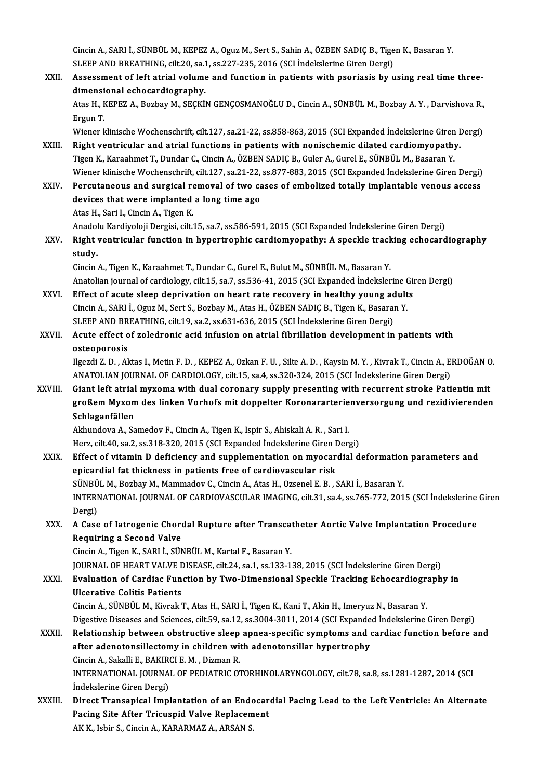Cincin A., SARI İ., SÜNBÜL M., KEPEZ A., Oguz M., Sert S., Sahin A., ÖZBEN SADIÇ B., Tigen K., Basaran Y.<br>SLEER AND RREATHING .silt 20, ss 1, ss 227, 225, 2016. (SCLİndekslerine Giren Dersi). Cincin A., SARI İ., SÜNBÜL M., KEPEZ A., Oguz M., Sert S., Sahin A., ÖZBEN SADIÇ B., Tige<br>SLEEP AND BREATHING, cilt.20, sa.1, ss.227-235, 2016 (SCI İndekslerine Giren Dergi)<br>Assessment of left etrisl volume and function in Cincin A., SARI İ., SÜNBÜL M., KEPEZ A., Oguz M., Sert S., Sahin A., ÖZBEN SADIÇ B., Tigen K., Basaran Y.<br>SLEEP AND BREATHING, cilt.20, sa.1, ss.227-235, 2016 (SCI İndekslerine Giren Dergi)<br>XXII. Assessment of left atrial

SLEEP AND BREATHING, cilt.20, sa.1, ss.227-235, 2016 (SCI Indekslerine Giren Dergi)<br>Assessment of left atrial volume and function in patients with psoriasis by using real time three-<br>dimensional echocardiography. Assessment of left atrial volume and function in patients with psoriasis by using real time three-<br>dimensional echocardiography.<br>Atas H., KEPEZ A., Bozbay M., SEÇKİN GENÇOSMANOĞLU D., Cincin A., SÜNBÜL M., Bozbay A.Y. , Da

di<mark>mensi</mark><br>Atas H., I<br>Ergun T.<br>Wiener l Atas H., KEPEZ A., Bozbay M., SEÇKİN GENÇOSMANOĞLU D., Cincin A., SÜNBÜL M., Bozbay A. Y. , Darvishova R.,<br>Ergun T.<br>Wiener klinische Wochenschrift, cilt.127, sa.21-22, ss.858-863, 2015 (SCI Expanded İndekslerine Giren Derg

- Ergun T.<br>Wiener klinische Wochenschrift, cilt.127, sa.21-22, ss.858-863, 2015 (SCI Expanded İndekslerine Giren I<br>XXIII. Right ventricular and atrial functions in patients with nonischemic dilated cardiomyopathy.<br>Tigen K. K Wiener klinische Wochenschrift, cilt.127, sa.21-22, ss.858-863, 2015 (SCI Expanded İndekslerine Giren<br>Right ventricular and atrial functions in patients with nonischemic dilated cardiomyopathy<br>Tigen K., Karaahmet T., Dunda Right ventricular and atrial functions in patients with nonischemic dilated cardiomyopathy.<br>Tigen K., Karaahmet T., Dundar C., Cincin A., ÖZBEN SADIÇ B., Guler A., Gurel E., SÜNBÜL M., Basaran Y.<br>Wiener klinische Wochensch Tigen K., Karaahmet T., Dundar C., Cincin A., ÖZBEN SADIÇ B., Guler A., Gurel E., SÜNBÜL M., Basaran Y.<br>Wiener klinische Wochenschrift, cilt.127, sa.21-22, ss.877-883, 2015 (SCI Expanded Indekslerine Giren Dergi)<br>XXIV. Per
- Wiener klinische Wochenschrift, cilt.127, sa.21-22,<br>Percutaneous and surgical removal of two cadevices that were implanted a long time ago Percutaneous and surgical removal of two cases of embolized totally implantable venous access devices that were implanted a long time ago<br>Atas H., Sari I., Cincin A., Tigen K. devices that were implanted a long time ago<br>Atas H., Sari I., Cincin A., Tigen K.<br>Anadolu Kardiyoloji Dergisi, cilt.15, sa.7, ss.586-591, 2015 (SCI Expanded İndekslerine Giren Dergi)<br>Bight ventricular function in bynertren

Atas H., Sari I., Cincin A., Tigen K.<br>Anadolu Kardiyoloji Dergisi, cilt.15, sa.7, ss.586-591, 2015 (SCI Expanded İndekslerine Giren Dergi)<br>XXV. Right ventricular function in hypertrophic cardiomyopathy: A speckle track Anadol<br>**Right**<br>study.<br>Gingin Right ventricular function in hypertrophic cardiomyopathy: A speckle track<br>study.<br>Cincin A., Tigen K., Karaahmet T., Dundar C., Gurel E., Bulut M., SÜNBÜL M., Basaran Y.<br>Anatalian iouunal of sardiology. silt 15, so 7, so 5

study.<br>Cincin A., Tigen K., Karaahmet T., Dundar C., Gurel E., Bulut M., SÜNBÜL M., Basaran Y.<br>Anatolian journal of cardiology, cilt.15, sa.7, ss.536-41, 2015 (SCI Expanded İndekslerine Giren Dergi)

XXVI. Effect of acute sleep deprivation on heart rate recovery in healthy young adults Anatolian journal of cardiology, cilt.15, sa.7, ss.536-41, 2015 (SCI Expanded Indekslerine (<br>Effect of acute sleep deprivation on heart rate recovery in healthy young adult<br>Cincin A., SARI İ., Oguz M., Sert S., Bozbay M., Effect of acute sleep deprivation on heart rate recovery in healthy young ad<br>Cincin A., SARI İ., Oguz M., Sert S., Bozbay M., Atas H., ÖZBEN SADIÇ B., Tigen K., Basara<br>SLEEP AND BREATHING, cilt.19, sa.2, ss.631-636, 2015 ( SLEEP AND BREATHING, cilt.19, sa.2, ss.631-636, 2015 (SCI İndekslerine Giren Dergi)

## XXVII. Acute effect of zoledronic acid infusion on atrial fibrillation development in patients with<br>osteoporosis

IlgezdiZ.D. ,Aktas I.,MetinF.D. ,KEPEZA.,OzkanF.U. ,SilteA.D. ,KaysinM.Y. ,KivrakT.,CincinA.,ERDOĞANO. osteoporosis<br>Ilgezdi Z. D. , Aktas I., Metin F. D. , KEPEZ A., Ozkan F. U. , Silte A. D. , Kaysin M. Y. , Kivrak T., Cincin A., E<br>ANATOLIAN JOURNAL OF CARDIOLOGY, cilt.15, sa.4, ss.320-324, 2015 (SCI İndekslerine Giren Der Ilgezdi Z. D., Aktas I., Metin F. D., KEPEZ A., Ozkan F. U., Silte A. D., Kaysin M. Y., Kivrak T., Cincin A., ERDOĞAN O<br>ANATOLIAN JOURNAL OF CARDIOLOGY, cilt.15, sa.4, ss.320-324, 2015 (SCI İndekslerine Giren Dergi)<br>XXVIII

ANATOLIAN JOURNAL OF CARDIOLOGY, cilt.15, sa.4, ss.320-324, 2015 (SCI İndekslerine Giren Dergi)<br>Giant left atrial myxoma with dual coronary supply presenting with recurrent stroke Patientin mit<br>großem Myxom des linken Vorh Giant left atrial myxoma with dual coronary supply presenting with recurrent stroke Patientin mit<br>großem Myxom des linken Vorhofs mit doppelter Koronararterienversorgung und rezidivierenden<br>Schlaganfällen großem Myxom des linken Vorhofs mit doppelter Koronararterie<br>Schlaganfällen<br>Akhundova A., Samedov F., Cincin A., Tigen K., Ispir S., Ahiskali A. R. , Sari I.<br>Hers silt 40, 82,2, 82,219, 220, 2015, (SCL Expanded Indekslerin Schlaganfällen<br>Akhundova A., Samedov F., Cincin A., Tigen K., Ispir S., Ahiskali A. R. , Sari I.<br>Herz, cilt.40, sa.2, ss.318-320, 2015 (SCI Expanded İndekslerine Giren Dergi)<br>Effect of witomin D. deficionay and sunnlamenta

Herz, cilt.40, sa.2, ss.318-320, 2015 (SCI Expanded Indekslerine Giren Dergi)

XXIX. Effect of vitamin D deficiency and supplementation on myocardial deformation parameters and<br>epicardial fat thickness in patients free of cardiovascular risk Effect of vitamin D deficiency and supplementation on myocardial deformation<br>epicardial fat thickness in patients free of cardiovascular risk<br>SÜNBÜL M., Bozbay M., Mammadov C., Cincin A., Atas H., Ozsenel E. B. , SARI İ., epicardial fat thickness in patients free of cardiovascular risk<br>SÜNBÜL M., Bozbay M., Mammadov C., Cincin A., Atas H., Ozsenel E. B. , SARI İ., Basaran Y.<br>INTERNATIONAL JOURNAL OF CARDIOVASCULAR IMAGING, cilt.31, sa.4, ss

SÜNBÜ<br>INTERI<br>Dergi)<br>A Gass INTERNATIONAL JOURNAL OF CARDIOVASCULAR IMAGING, cilt.31, sa.4, ss.765-772, 2015 (SCI Indekslerine<br>Dergi)<br>XXX. A Case of Iatrogenic Chordal Rupture after Transcatheter Aortic Valve Implantation Procedure

Dergi)<br>A Case of Iatrogenic Chordal Rupture after Transcatheter Aortic Valve Implantation Procedure<br>Requiring a Second Valve Requiring a Second Valve<br>Cincin A., Tigen K., SARI İ., SÜNBÜL M., Kartal F., Basaran Y.<br>JOURNAL OF HEART VALVE DISEASE, cilt.24, sa.1, ss.133-138, 2015 (SCI İndekslerine Giren Dergi)<br>Fyaluation of Cardiac Eunstian by Two D

Cincin A., Tigen K., SARI İ., SÜNBÜL M., Kartal F., Basaran Y.

### Cincin A., Tigen K., SARI İ., SÜNBÜL M., Kartal F., Basaran Y.<br>JOURNAL OF HEART VALVE DISEASE, cilt.24, sa.1, ss.133-138, 2015 (SCI İndekslerine Giren Dergi)<br>XXXI. Byaluation of Cardiac Function by Two-Dimensional Speckle JOURNAL OF HEART VALVE <mark>I</mark><br>Evaluation of Cardiac Fun<br>Ulcerative Colitis Patients<br>Cincin A. SÜNPÜLM, Kinnak Evaluation of Cardiac Function by Two-Dimensional Speckle Tracking Echocardiography in<br>Ulcerative Colitis Patients<br>Cincin A., SÜNBÜL M., Kivrak T., Atas H., SARI İ., Tigen K., Kani T., Akin H., Imeryuz N., Basaran Y.

Ulcerative Colitis Patients<br>Cincin A., SÜNBÜL M., Kivrak T., Atas H., SARI İ., Tigen K., Kani T., Akin H., Imeryuz N., Basaran Y.<br>Digestive Diseases and Sciences, cilt.59, sa.12, ss.3004-3011, 2014 (SCI Expanded İndeksleri Cincin A., SÜNBÜL M., Kivrak T., Atas H., SARI İ., Tigen K., Kani T., Akin H., Imeryuz N., Basaran Y.<br>Digestive Diseases and Sciences, cilt.59, sa.12, ss.3004-3011, 2014 (SCI Expanded Indekslerine Giren Dergi)<br>XXXII. Relat

## Digestive Diseases and Sciences, cilt.59, sa.12, ss.3004-3011, 2014 (SCI Expande<br>Relationship between obstructive sleep apnea-specific symptoms and order adenotonsillectomy in children with adenotonsillar hypertrophy<br>Cinsi Relationship between obstructive sleep<br>after adenotonsillectomy in children wi<br>Cincin A., Sakalli E., BAKIRCI E. M. , Dizman R.<br>INTERNATIONAL JOURNAL OF REDIATRIC O after adenotonsillectomy in children with adenotonsillar hypertrophy<br>Cincin A., Sakalli E., BAKIRCI E. M. , Dizman R.<br>INTERNATIONAL JOURNAL OF PEDIATRIC OTORHINOLARYNGOLOGY, cilt.78, sa.8, ss.1281-1287, 2014 (SCI

Cincin A., Sakalli E., BAKIR<br>INTERNATIONAL JOURNA<br>İndekslerine Giren Dergi)<br>Dinest Transanisal Impl INTERNATIONAL JOURNAL OF PEDIATRIC OTORHINOLARYNGOLOGY, cilt.78, sa.8, ss.1281-1287, 2014 (SCI<br>Indekslerine Giren Dergi)<br>XXXIII. Direct Transapical Implantation of an Endocardial Pacing Lead to the Left Ventricle: An Alter

İndekslerine Giren Dergi)<br>Direct Transapical Implantation of an Endocar<br>Pacing Site After Tricuspid Valve Replacement<br>AKK, Johin S. Cincin A. KARARMAZ A. ARSAN S. Direct Transapical Implantation of an Endc<br>Pacing Site After Tricuspid Valve Replacem<br>AK K., Isbir S., Cincin A., KARARMAZ A., ARSAN S.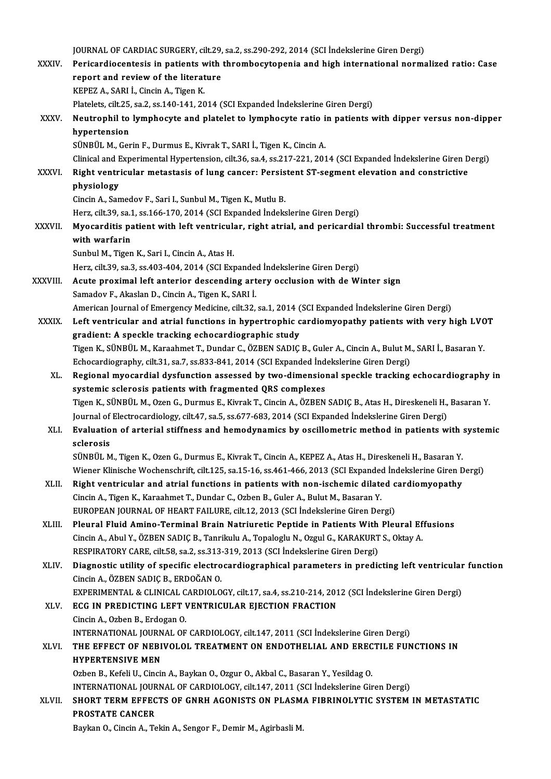JOURNAL OF CARDIAC SURGERY, cilt.29, sa.2, ss.290-292, 2014 (SCI İndekslerine Giren Dergi)<br>Perisandiacentesis in patients with thrombosutanenia and hish international nerms

| <b>XXXIV</b>  | JOURNAL OF CARDIAC SURGERY, cilt.29, sa.2, ss.290-292, 2014 (SCI Indekslerine Giren Dergi)                                                |
|---------------|-------------------------------------------------------------------------------------------------------------------------------------------|
|               | Pericardiocentesis in patients with thrombocytopenia and high international normalized ratio: Case<br>report and review of the literature |
|               | KEPEZ A., SARI İ., Cincin A., Tigen K.                                                                                                    |
|               | Platelets, cilt.25, sa.2, ss.140-141, 2014 (SCI Expanded Indekslerine Giren Dergi)                                                        |
|               |                                                                                                                                           |
| XXXV.         | Neutrophil to lymphocyte and platelet to lymphocyte ratio in patients with dipper versus non-dipper                                       |
|               | hypertension                                                                                                                              |
|               | SÜNBÜL M., Gerin F., Durmus E., Kivrak T., SARI İ., Tigen K., Cincin A.                                                                   |
|               | Clinical and Experimental Hypertension, cilt.36, sa.4, ss.217-221, 2014 (SCI Expanded Indekslerine Giren Dergi)                           |
| <b>XXXVI</b>  | Right ventricular metastasis of lung cancer: Persistent ST-segment elevation and constrictive                                             |
|               | physiology                                                                                                                                |
|               | Cincin A., Samedov F., Sari I., Sunbul M., Tigen K., Mutlu B.                                                                             |
|               | Herz, cilt.39, sa.1, ss.166-170, 2014 (SCI Expanded Indekslerine Giren Dergi)                                                             |
| <b>XXXVII</b> | Myocarditis patient with left ventricular, right atrial, and pericardial thrombi: Successful treatment                                    |
|               | with warfarin                                                                                                                             |
|               | Sunbul M., Tigen K., Sari I., Cincin A., Atas H.                                                                                          |
|               | Herz, cilt.39, sa.3, ss.403-404, 2014 (SCI Expanded Indekslerine Giren Dergi)                                                             |
| XXXVIII.      | Acute proximal left anterior descending artery occlusion with de Winter sign                                                              |
|               | Samadov F., Akaslan D., Cincin A., Tigen K., SARI İ.                                                                                      |
|               | American Journal of Emergency Medicine, cilt.32, sa.1, 2014 (SCI Expanded Indekslerine Giren Dergi)                                       |
| <b>XXXIX</b>  | Left ventricular and atrial functions in hypertrophic cardiomyopathy patients with very high LVOT                                         |
|               | gradient: A speckle tracking echocardiographic study                                                                                      |
|               | Tigen K., SÜNBÜL M., Karaahmet T., Dundar C., ÖZBEN SADIÇ B., Guler A., Cincin A., Bulut M., SARI İ., Basaran Y                           |
|               | Echocardiography, cilt.31, sa.7, ss.833-841, 2014 (SCI Expanded Indekslerine Giren Dergi)                                                 |
| XL.           | Regional myocardial dysfunction assessed by two-dimensional speckle tracking echocardiography in                                          |
|               | systemic sclerosis patients with fragmented QRS complexes                                                                                 |
|               | Tigen K., SÜNBÜL M., Ozen G., Durmus E., Kivrak T., Cincin A., ÖZBEN SADIÇ B., Atas H., Direskeneli H., Basaran Y.                        |
|               | Journal of Electrocardiology, cilt.47, sa.5, ss.677-683, 2014 (SCI Expanded İndekslerine Giren Dergi)                                     |
| XLI.          | Evaluation of arterial stiffness and hemodynamics by oscillometric method in patients with systemic                                       |
|               | sclerosis                                                                                                                                 |
|               | SÜNBÜL M., Tigen K., Ozen G., Durmus E., Kivrak T., Cincin A., KEPEZ A., Atas H., Direskeneli H., Basaran Y.                              |
|               | Wiener Klinische Wochenschrift, cilt.125, sa.15-16, ss.461-466, 2013 (SCI Expanded İndekslerine Giren Dergi)                              |
| XLII.         | Right ventricular and atrial functions in patients with non-ischemic dilated cardiomyopathy                                               |
|               | Cincin A., Tigen K., Karaahmet T., Dundar C., Ozben B., Guler A., Bulut M., Basaran Y.                                                    |
|               | EUROPEAN JOURNAL OF HEART FAILURE, cilt.12, 2013 (SCI Indekslerine Giren Dergi)                                                           |
| XLIII.        | Pleural Fluid Amino-Terminal Brain Natriuretic Peptide in Patients With Pleural Effusions                                                 |
|               | Cincin A., Abul Y., ÖZBEN SADIÇ B., Tanrikulu A., Topaloglu N., Ozgul G., KARAKURT S., Oktay A.                                           |
|               | RESPIRATORY CARE, cilt.58, sa.2, ss.313-319, 2013 (SCI Indekslerine Giren Dergi)                                                          |
| XLIV.         | Diagnostic utility of specific electrocardiographical parameters in predicting left ventricular function                                  |
|               | Cincin A, ÖZBEN SADIÇ B, ERDOĞAN O.                                                                                                       |
|               | EXPERIMENTAL & CLINICAL CARDIOLOGY, cilt.17, sa.4, ss.210-214, 2012 (SCI İndekslerine Giren Dergi)                                        |
| XLV.          | ECG IN PREDICTING LEFT VENTRICULAR EJECTION FRACTION                                                                                      |
|               | Cincin A., Ozben B., Erdogan O.                                                                                                           |
|               | INTERNATIONAL JOURNAL OF CARDIOLOGY, cilt.147, 2011 (SCI Indekslerine Giren Dergi)                                                        |
| XLVI.         | THE EFFECT OF NEBIVOLOL TREATMENT ON ENDOTHELIAL AND ERECTILE FUNCTIONS IN                                                                |
|               | <b>HYPERTENSIVE MEN</b>                                                                                                                   |
|               | Ozben B., Kefeli U., Cincin A., Baykan O., Ozgur O., Akbal C., Basaran Y., Yesildag O.                                                    |
|               | INTERNATIONAL JOURNAL OF CARDIOLOGY, cilt.147, 2011 (SCI İndekslerine Giren Dergi)                                                        |
| XLVII.        | SHORT TERM EFFECTS OF GNRH AGONISTS ON PLASMA FIBRINOLYTIC SYSTEM IN METASTATIC                                                           |
|               | PROSTATE CANCER                                                                                                                           |
|               | Baykan O., Cincin A., Tekin A., Sengor F., Demir M., Agirbasli M.                                                                         |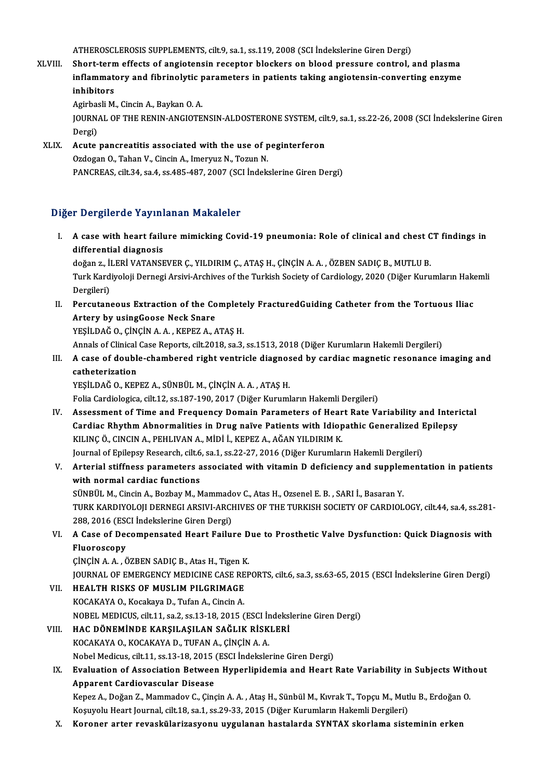ATHEROSCLEROSIS SUPPLEMENTS, cilt.9, sa.1, ss.119,2008 (SCI İndekslerineGirenDergi)

ATHEROSCLEROSIS SUPPLEMENTS, cilt.9, sa.1, ss.119, 2008 (SCI indekslerine Giren Dergi)<br>XLVIII. Short-term effects of angiotensin receptor blockers on blood pressure control, and plasma<br>inflammatery and fibringlytic paramat ATHEROSCLEROSIS SUPPLEMENTS, cilt.9, sa.1, ss.119, 2008 (SCI İndekslerine Giren Dergi)<br>Short-term effects of angiotensin receptor blockers on blood pressure control, and plasma<br>inflammatory and fibrinolytic parameters in p Short-tern<br>inflammate<br>inhibitors<br>Agirbaali M inflammatory and fibrinolytic parameters in patients taking angiotensin-converting enzyme<br>inhibitors<br>Agirbasli M., Cincin A., Baykan O. A.

inhibitors<br>Agirbasli M., Cincin A., Baykan O. A.<br>JOURNAL OF THE RENIN-ANGIOTENSIN-ALDOSTERONE SYSTEM, cilt.9, sa.1, ss.22-26, 2008 (SCI İndekslerine Giren<br>Persi) Agirbas<br>JOURN<br>Dergi)<br>Agute JOURNAL OF THE RENIN-ANGIOTENSIN-ALDOSTERONE SYSTEM, cil<br>Dergi)<br>XLIX. Acute pancreatitis associated with the use of peginterferon<br>Ordoson O. Taban V. Ginsin A. Imeruus N. Tegun N.

Dergi)<br>Acute pancreatitis associated with the use of peginterferon<br>Ozdogan O., Tahan V., Cincin A., Imeryuz N., Tozun N. PANCREAS, cilt.34, sa.4, ss.485-487, 2007 (SCI İndekslerine Giren Dergi)

#### Diğer Dergilerde Yayınlanan Makaleler

Iger Dergilerde Yayınlanan Makaleler<br>I. A case with heart failure mimicking Covid-19 pneumonia: Role of clinical and chest CT findings in<br>differential diganesis differential diagnosis<br>differential diagnosis<br>dožen z il EDI VATANSI A case with heart failure mimicking Covid-19 pneumonia: Role of clinical and chest C<br>differential diagnosis<br>doğan z., İLERİ VATANSEVER Ç., YILDIRIM Ç., ATAŞ H., ÇİNÇİN A. A. , ÖZBEN SADIÇ B., MUTLU B.<br>Turk Kardiyalaji Dama

differential diagnosis<br>doğan z., İLERİ VATANSEVER Ç., YILDIRIM Ç., ATAŞ H., ÇİNÇİN A. A. , ÖZBEN SADIÇ B., MUTLU B.<br>Turk Kardiyoloji Dernegi Arsivi-Archives of the Turkish Society of Cardiology, 2020 (Diğer Kurumların Hake doğan z., İl<br>Turk Kard<br>Dergileri)<br>Perautanı Turk Kardiyoloji Dernegi Arsivi-Archives of the Turkish Society of Cardiology, 2020 (Diğer Kurumların Hake<br>Dergileri)<br>II. Percutaneous Extraction of the Completely FracturedGuiding Catheter from the Tortuous Iliac<br>Artery b

Dergileri)<br>Percutaneous Extraction of the Co<br>Artery by usingGoose Neck Snare<br>YESU DAČ O. CINCIN A A., KEPEZ A. A Percutaneous Extraction of the Complete<br>Artery by usingGoose Neck Snare<br>YEŞİLDAĞ O., ÇİNÇİN A.A., KEPEZ A., ATAŞ H.<br>Annak of Clinical Case Bonerts, silt 2019, sa 3. Artery by usingGoose Neck Snare<br>YEŞİLDAĞ O., ÇİNÇİN A. A. , KEPEZ A., ATAŞ H.<br>Annals of Clinical Case Reports, cilt.2018, sa.3, ss.1513, 2018 (Diğer Kurumların Hakemli Dergileri)

YEŞİLDAĞ O., ÇİNÇİN A. A. , KEPEZ A., ATAŞ H.<br>Annals of Clinical Case Reports, cilt.2018, sa.3, ss.1513, 2018 (Diğer Kurumların Hakemli Dergileri)<br>III. A case of double-chambered right ventricle diagnosed by cardiac ma Annals of Clinical<br>A case of double<br>catheterization<br>vesimană ouver catheterization<br>YEŞİLDAĞ O., KEPEZ A., SÜNBÜL M., ÇİNÇİN A. A. , ATAŞ H.

Folia Cardiologica, cilt.12, ss.187-190, 2017 (Diğer Kurumların Hakemli Dergileri)

- IV. Assessment of Time and Frequency Domain Parameters of Heart Rate Variability and Interictal Folia Cardiologica, cilt.12, ss.187-190, 2017 (Diğer Kurumların Hakemli Dergileri)<br>Assessment of Time and Frequency Domain Parameters of Heart Rate Variability and Interi<br>Cardiac Rhythm Abnormalities in Drug naïve Patients KILINÇÖ., CINCIN A., PEHLIVAN A., MİDİ İ., KEPEZ A., AĞAN YILDIRIM K. Cardiac Rhythm Abnormalities in Drug naïve Patients with Idiopathic Generalized I<br>KILINÇ Ö., CINCIN A., PEHLIVAN A., MİDİ İ., KEPEZ A., AĞAN YILDIRIM K.<br>Journal of Epilepsy Research, cilt.6, sa.1, ss.22-27, 2016 (Diğer Kur Journal of Epilepsy Research, cilt.6, sa.1, ss.22-27, 2016 (Diğer Kurumların Hakemli Dergileri)
- V. Arterial stiffness parameters associated with vitamin D deficiency and supplementation in patients SÜNBÜL M., Cincin A., Bozbay M., Mammadov C., Atas H., Ozsenel E. B., SARI İ., Basaran Y. TURK KARDIYOLOJI DERNEGI ARSIVI-ARCHIVES OF THE TURKISH SOCIETY OF CARDIOLOGY, cilt.44, sa.4, ss.281-SÜNBÜL M., Cincin A., Bozbay M., Mammad<br>TURK KARDIYOLOJI DERNEGI ARSIVI-ARCH<br>288, 2016 (ESCI İndekslerine Giren Dergi)<br>A Gase of Desempensated Heart Failu
- VI. A Case of Decompensated Heart Failure Due to Prosthetic Valve Dysfunction: Quick Diagnosis with 288, 2016 (ESC)<br>A Case of Dec<br>Fluoroscopy<br>Cincin A A C Fluoroscopy<br>ÇİNÇİN A. A. , ÖZBEN SADIÇ B., Atas H., Tigen K.<br>JOURNAL OF EMERGENCY MEDICINE CASE REPORTS, cilt.6, sa.3, ss.63-65, 2015 (ESCI İndekslerine Giren Dergi)<br>HEALTH BISKS OF MIJSLIM BILGBIMAGE

ÇİNÇİN A.A., ÖZBEN SADIÇ B., Atas H., Tigen K.

VII. HEALTH RISKS OF MUSLIM PILGRIMAGE<br>KOCAKAYA O., Kocakaya D., Tufan A., Cincin A. **JOURNAL OF EMERGENCY MEDICINE CASE RE<br>HEALTH RISKS OF MUSLIM PILGRIMAGE<br>KOCAKAYA O., Kocakaya D., Tufan A., Cincin A.<br>NOBEL MEDICUS, gilt 11, sp.2, sp.12, 19, 2015 (** 

NOBEL MEDICUS, cilt.11, sa.2, ss.13-18, 2015 (ESCI İndekslerine Giren Dergi)

- VIII. HAC DÖNEMİNDE KARŞILAŞILAN SAĞLIK RİSKLERİ KOCAKAYAO.,KOCAKAYAD.,TUFANA.,ÇİNÇİNA.A. Nobel Medicus, cilt.11, ss.13-18, 2015 (ESCI İndekslerine Giren Dergi) KOCAKAYA O., KOCAKAYA D., TUFAN A., ÇİNÇİN A. A.<br>Nobel Medicus, cilt.11, ss.13-18, 2015 (ESCI İndekslerine Giren Dergi)<br>IX. Evaluation of Association Between Hyperlipidemia and Heart Rate Variability in Subjects Without<br>An
- Nobel Medicus, cilt.11, ss.13-18, 2015<br>Evaluation of Association Between<br>Apparent Cardiovascular Disease<br>Kapar A. Dečar 7. Mammadov C. Cine Evaluation of Association Between Hyperlipidemia and Heart Rate Variability in Subjects With<br>Apparent Cardiovascular Disease<br>Kepez A., Doğan Z., Mammadov C., Çinçin A.A. , Ataş H., Sünbül M., Kıvrak T., Topçu M., Mutlu B.,

Apparent Cardiovascular Disease<br>Kepez A., Doğan Z., Mammadov C., Çinçin A. A. , Ataş H., Sünbül M., Kıvrak T., Topçu M., Mutlu B., Erdoğan O.<br>Koşuyolu Heart Journal, cilt.18, sa.1, ss.29-33, 2015 (Diğer Kurumların Hakemli

X. Koroner arter revaskülarizasyonu uygulanan hastalarda SYNTAX skorlama sisteminin erken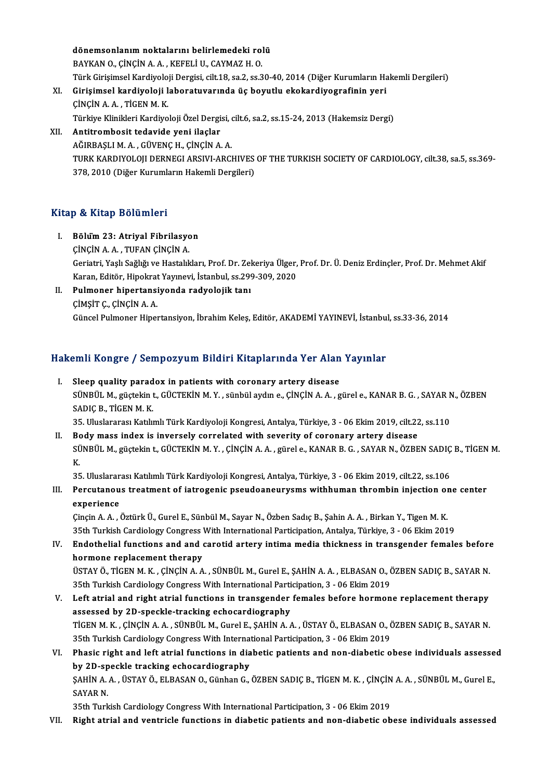dönemsonlanım noktalarını belirlemedeki rolü BAYKAN O., ÇİNÇİN A. A., KEFELİ U., CAYMAZH. O. Türk Girişimsel Kardiyoloji Dergisi, cilt.18, sa.2, ss.30-40, 2014 (Diğer Kurumların Hakemli Dergileri) BAYKAN O., ÇİNÇİN A. A. , KEFELİ U., CAYMAZ H. O.<br>Türk Girişimsel Kardiyoloji Dergisi, cilt.18, sa.2, ss.30-40, 2014 (Diğer Kurumların Ha<br>XI. Girişimsel kardiyoloji laboratuvarında üç boyutlu ekokardiyografinin yeri<br>CİNCİN Türk Girişimsel Kardiyolo<br>Girişimsel <mark>kardiyoloji l</mark><br>ÇİNÇİN A. A. , TİGEN M. K.<br>Türkiye Klinikleri Kardiye Girişimsel kardiyoloji laboratuvarında üç boyutlu ekokardiyografinin yeri<br>ÇİNÇİN A. A. , TİGEN M. K.<br>Türkiye Klinikleri Kardiyoloji Özel Dergisi, cilt.6, sa.2, ss.15-24, 2013 (Hakemsiz Dergi)<br>Antitrombosit tedavide yeni il

ÇİNÇİN A. A. , TİGEN M. K.<br>Türkiye Klinikleri Kardiyoloji Özel Dergisi, o<br>XII. Antitrombosit tedavide yeni ilaçlar<br>AĞIRBAŞLI M. A. , GÜVENC H., ÇİNÇİN A. A. Türkiye Klinikleri Kardiyoloji Özel Dergisi, (<br><mark>Antitrombosit tedavide yeni ilaçlar</mark><br>AĞIRBAŞLI M. A. , GÜVENÇ H., ÇİNÇİN A. A.<br>TURK KARDIYOLOU DERNECLARSIYLARCI TURK KARDIYOLOJI DERNEGI ARSIVI-ARCHIVES OF THE TURKISH SOCIETY OF CARDIOLOGY, cilt.38, sa.5, ss.369-378, 2010 (Diğer Kurumların Hakemli Dergileri)

#### Kitap & Kitap Bölümleri

- I. Bölüm23: Atriyal Fibrilasyon ÇİNÇİNA.A. ,TUFANÇİNÇİNA. Bölum 23: Atriyal Fibrilasyon<br>ÇİNÇİN A. A. , TUFAN ÇİNÇİN A.<br>Geriatri, Yaşlı Sağlığı ve Hastalıkları, Prof. Dr. Zekeriya Ülger, Prof. Dr. Ü. Deniz Erdinçler, Prof. Dr. Mehmet Akif ÇİNÇİN A. A. , TUFAN ÇİNÇİN A.<br>Geriatri, Yaşlı Sağlığı ve Hastalıkları, Prof. Dr. Zekeriya Ülger,<br>Karan, Editör, Hipokrat Yayınevi, İstanbul, ss.299-309, 2020<br>Pulmanon binestansiyanda radvalajilı tanı Geriatri, Yaşlı Sağlığı ve Hastalıkları, Prof. Dr. Zel<br>Karan, Editör, Hipokrat Yayınevi, İstanbul, ss.299<br>II. Pulmoner hipertansiyonda radyolojik tanı<br>CiMSIT C. CiNCIN A.A
- Karan, Editör, Hipokrat Yayınevi, İstanbul, ss.299-309, 2020<br>II. Pulmoner hipertansiyonda radyolojik tanı<br>ÇİMŞİT Ç., ÇİNÇİN A. A. Güncel Pulmoner Hipertansiyon, İbrahim Keleş, Editör, AKADEMİ YAYINEVİ, İstanbul, ss.33-36, 2014

# Guncer Pulmoner Hiperlansiyon, ibrahim Keleş, Edilor, AKADEMI TATINEVI, Islanbu<br>Hakemli Kongre / Sempozyum Bildiri Kitaplarında Yer Alan Yayınlar

akemli Kongre / Sempozyum Bildiri Kitaplarında Yer Alan<br>I. Sleep quality paradox in patients with coronary artery disease<br>SÜNPÜL M Süstelint CÜCTEKİN M.Y. Sünbül ardın a CİNCİN A.A. S SİNIY IYONGLO 7 OSINPOLYUN DIYATI INYELPINI INU TOFTININ TUYININI<br>Sleep quality paradox in patients with coronary artery disease<br>SÜNBÜL M., güçtekin t., GÜCTEKİN M.Y. , sünbül aydın e., ÇİNÇİN A. A. , gürel e., KANAR B. G. Sleep quality parad<br>SÜNBÜL M., güçtekin t<br>SADIÇ B., TİGEN M. K.<br>25. Uluslararası Katılı SÜNBÜL M., güçtekin t., GÜCTEKİN M. Y. , sünbül aydın e., ÇİNÇİN A. A. , gürel e., KANAR B. G. , SAYAR N<br>SADIÇ B., TİGEN M. K.<br>35. Uluslararası Katılımlı Türk Kardiyoloji Kongresi, Antalya, Türkiye, 3 - 06 Ekim 2019, cilt. SADIÇ B., TİGEN M. K.<br>35. Uluslararası Katılımlı Türk Kardiyoloji Kongresi, Antalya, Türkiye, 3 - 06 Ekim 2019, cilt.22, ss.110<br>II. Body mass index is inversely correlated with severity of coronary artery disease

35. Uluslararası Katılımlı Türk Kardiyoloji Kongresi, Antalya, Türkiye, 3 - 06 Ekim 2019, cilt.22, ss.110<br>Body mass index is inversely correlated with severity of coronary artery disease<br>SÜNBÜL M., güçtekin t., GÜCTEKİN M. Bo<br>SÜ<br>25 SÜNBÜL M., güçtekin t., GÜCTEKİN M. Y. , ÇİNÇİN A. A. , gürel e., KANAR B. G. , SAYAR N., ÖZBEN SADIÇ<br>K.<br>35. Uluslararası Katılımlı Türk Kardiyoloji Kongresi, Antalya, Türkiye, 3 - 06 Ekim 2019, cilt.22, ss.106<br>Baraytanaya

K.<br>35. Uluslararası Katılımlı Türk Kardiyoloji Kongresi, Antalya, Türkiye, 3 - 06 Ekim 2019, cilt.22, ss.106<br>III. Percutanous treatment of iatrogenic pseudoaneurysms withhuman thrombin injection one center<br>avnoriones 35. Uluslarar<br>Percutanou<br>experience<br>Cincin A A Percutanous treatment of iatrogenic pseudoaneurysms withhuman thrombin injection of<br>experience<br>Çinçin A. A. , Öztürk Ü., Gurel E., Sünbül M., Sayar N., Özben Sadıç B., Şahin A. A. , Birkan Y., Tigen M. K.<br>25th Turkish Card

experience<br>Çinçin A. A. , Öztürk Ü., Gurel E., Sünbül M., Sayar N., Özben Sadıç B., Şahin A. A. , Birkan Y., Tigen M. K.<br>35th Turkish Cardiology Congress With International Participation, Antalya, Türkiye, 3 - 06 Ekim 2019

- Cinçin A. A. , Öztürk Ü., Gurel E., Sünbül M., Sayar N., Özben Sadıç B., Şahin A. A. , Birkan Y., Tigen M. K.<br>35th Turkish Cardiology Congress With International Participation, Antalya, Türkiye, 3 06 Ekim 2019<br>IV. Endoth 35th Turkish Cardiology Congress<br>Endothelial functions and and<br>hormone replacement therapy<br>fistav Ö. Ticen M. K. Cincin A. A Endothelial functions and and carotid artery intima media thickness in transgender females before<br>hormone replacement therapy<br>ÜSTAY Ö., TİGEN M. K. , ÇİNÇİN A. A. , SÜNBÜL M., Gurel E., ŞAHİN A. A. , ELBASAN O., ÖZBEN SADI hormone replacement therapy<br>ÜSTAY Ö., TİGEN M. K. , ÇİNÇİN A. A. , SÜNBÜL M., Gurel E., ŞAHİN A. A. , ELBASAN O., Ö<br>35th Turkish Cardiology Congress With International Participation, 3 - 06 Ekim 2019<br>Left atrial and right USTAY Ö., TIGEN M. K., ÇİNÇİN A. A., SÜNBÜL M., Gurel E., ŞAHİN A. A., ELBASAN O., ÖZBEN SADIÇ B., SAYAR N.<br>35th Turkish Cardiology Congress With International Participation, 3 - 06 Ekim 2019<br>V. Left atrial and right atria
- 35th Turkish Cardiology Congress With International Participation, 3 06 Ekim 2019<br>V. Left atrial and right atrial functions in transgender females before hormone replacement therapy<br>assessed by 2D-speckle-tracking echoca Left atrial and right atrial functions in transgender females before hormone replacement therapy<br>assessed by 2D-speckle-tracking echocardiography<br>TİGEN M. K. , ÇİNÇİN A. A. , SÜNBÜL M., Gurel E., ŞAHİN A. A. , ÜSTAY Ö., EL assessed by 2D-speckle-tracking echocardiography<br>TİGEN M. K. , ÇİNÇİN A. A. , SÜNBÜL M., Gurel E., ŞAHİN A. A. , ÜSTAY Ö., ELBASAN O., Ö<br>35th Turkish Cardiology Congress With International Participation, 3 - 06 Ekim 2019<br>P TİGEN M. K., ÇİNÇİN A. A., SÜNBÜL M., Gurel E., ŞAHİN A. A., ÜSTAY Ö., ELBASAN O., ÖZBEN SADIÇ B., SAYAR N.<br>35th Turkish Cardiology Congress With International Participation, 3 - 06 Ekim 2019<br>VI. Phasic right and left atri
- 35th Turkish Cardiology Congress With International Phasic right and left atrial functions in dia<br>by 2D-speckle tracking echocardiography<br>SAHIN A A LÜSTAV Ö, ELPASAN O, Günban G Phasic right and left atrial functions in diabetic patients and non-diabetic obese individuals assesse<br>by 2D-speckle tracking echocardiography<br>ŞAHİN A. A. , ÜSTAY Ö., ELBASAN O., Günhan G., ÖZBEN SADIÇ B., TİGEN M. K. , Çİ by 2D-speckle tracking echocardiography<br>ŞAHİN A. A. , ÜSTAY Ö., ELBASAN O., Günhan G., ÖZBEN SADIÇ B., TİGEN M. K. , ÇİNÇİN A. A. , SÜNBÜL M., Gurel E.,<br>SAYAR N.

35th Turkish Cardiology Congress With International Participation, 3 - 06 Ekim 2019

VII. Right atrial and ventricle functions in diabetic patients and non-diabetic obese individuals assessed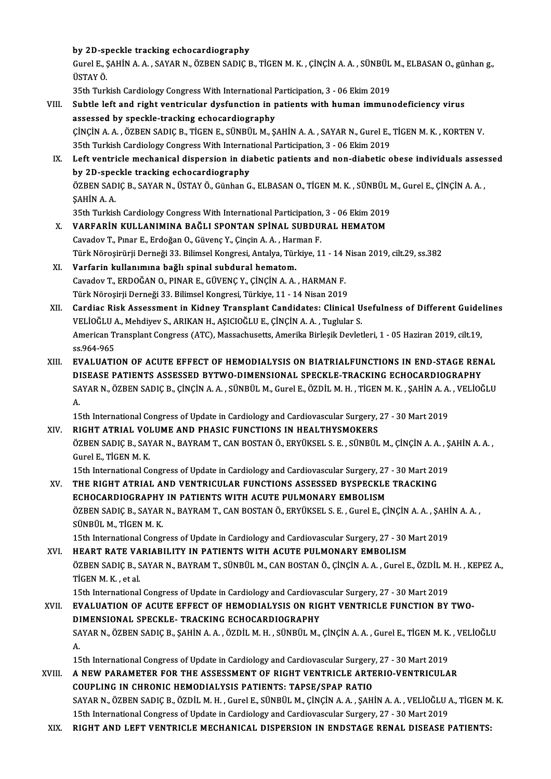by 2D-speckle tracking echocardiography

by 2D-speckle tracking echocardiography<br>Gurel E., ŞAHİN A. A. , SAYAR N., ÖZBEN SADIÇ B., TİGEN M. K. , ÇİNÇİN A. A. , SÜNBÜL M., ELBASAN O., günhan g<br>ÜSTAY Ö by 2D-sp<br>Gurel E., Ş<br>ÜSTAY Ö.<br><sup>25th Turl</sub></sup> Gurel E., ŞAHİN A. A. , SAYAR N., ÖZBEN SADIÇ B., TİGEN M. K. , ÇİNÇİN A. A. , SÜNBÜL<br>ÜSTAY Ö.<br>35th Turkish Cardiology Congress With International Participation, 3 - 06 Ekim 2019<br>Suhtle left and right ventrievlar dygfungti

35th Turkish Cardiology Congress With International Participation, 3 - 06 Ekim 2019

- USTAY Ö.<br>35th Turkish Cardiology Congress With International Participation, 3 06 Ekim 2019<br>VIII. Subtle left and right ventricular dysfunction in patients with human immunodeficiency virus<br>assessed by speckle-tracking ec Subtle left and right ventricular dysfunction in patients with human immunodeficiency virus<br>assessed by speckle-tracking echocardiography<br>ÇİNÇİN A.A., ÖZBEN SADIÇ B., TİGEN E., SÜNBÜL M., ŞAHİN A.A., SAYAR N., Gurel E., Tİ assessed by speckle-tracking echocardiography<br>CiNCiN A. A. , ÖZBEN SADIC B., TİGEN E., SÜNBÜL M., ŞAHİN A. A. , SAYAR N., Gurel E.,<br>35th Turkish Cardiology Congress With International Participation, 3 - 06 Ekim 2019<br>Left v CINCIN A. A. , ÖZBEN SADIC B., TIGEN E., SÜNBÜL M., ŞAHIN A. A. , SAYAR N., Gurel E., TIGEN M. K. , KORTEN V.<br>35th Turkish Cardiology Congress With International Participation, 3 - 06 Ekim 2019<br>IX. Left ventricle mechanica
	- 35th Turkish Cardiology Congress With International Left ventricle mechanical dispersion in dia<br>by 2D-speckle tracking echocardiography<br>ÖZPEN SADIC B. SAVAR N. ÜSTAV Ö. Günban G Left ventricle mechanical dispersion in diabetic patients and non-diabetic obese individuals asses<br>by 2D-speckle tracking echocardiography<br>ÖZBEN SADIÇ B., SAYAR N., ÜSTAY Ö., Günhan G., ELBASAN O., TİGEN M. K. , SÜNBÜL M., by 2D-speckle tracking echocardiography<br>ÖZBEN SADIÇ B., SAYAR N., ÜSTAY Ö., Günhan G., ELBASAN O., TİGEN M. K. , SÜNBÜL |<br>ŞAHİN A. A.<br>35th Turkish Cardiology Congress With International Participation, 3 - 06 Ekim 2019 ÖZBEN SADIÇ B., SAYAR N., ÜSTAY Ö., Günhan G., ELBASAN O., TIGEN M. K., SÜNBÜL M., Gurel E., ÇİNÇİN A. A.,
	- X. VARFARİN KULLANIMINA BAĞLI SPONTAN SPİNAL SUBDURAL HEMATOM CavadovT.,Pınar E.,ErdoğanO.,GüvençY.,ÇinçinA.A. ,HarmanF. VARFARİN KULLANIMINA BAĞLI SPONTAN SPİNAL SUBDURAL HEMATOM<br>Cavadov T., Pınar E., Erdoğan O., Güvenç Y., Çinçin A. A. , Harman F.<br>Türk Nöroşirürji Derneği 33. Bilimsel Kongresi, Antalya, Türkiye, 11 - 14 Nisan 2019, cilt.29
	- XI. Varfarin kullanımına bağlı spinal subdural hematom.<br>Cavadov T., ERDOĞAN O., PINAR E., GÜVENC Y., CİNCİN A. A., HARMAN F. Türk Nöroşirürji Derneği 33. Bilimsel Kongresi, Antalya, Türkiye, 11 - 14 l<br>Varfarin kullanımına bağlı spinal subdural hematom.<br>Cavadov T., ERDOĞAN O., PINAR E., GÜVENÇ Y., ÇİNÇİN A. A. , HARMAN F.<br>Türk Nörosirii Derneği 3 Türk Nöroşirji Derneği 33. Bilimsel Kongresi, Türkiye, 11 - 14 Nisan 2019
- Cavadov T., ERDOĞAN O., PINAR E., GÜVENÇ Y., ÇİNÇİN A. A. , HARMAN F.<br>Türk Nöroşirji Derneği 33. Bilimsel Kongresi, Türkiye, 11 14 Nisan 2019<br>XII. Cardiac Risk Assessment in Kidney Transplant Candidates: Clinical Use Türk Nöroşirji Derneği 33. Bilimsel Kongresi, Türkiye, 11 - 14 Nisan 2019<br>Cardiac Risk Assessment in Kidney Transplant Candidates: Clinical U<br>VELİOĞLU A., Mehdiyev S., ARIKAN H., AŞICIOĞLU E., ÇİNÇİN A. A. , Tuglular S.<br>Am Cardiac Risk Assessment in Kidney Transplant Candidates: Clinical Usefulness of Different Guide<br>VELİOĞLU A., Mehdiyev S., ARIKAN H., AŞICIOĞLU E., ÇİNÇİN A. A. , Tuglular S.<br>American Transplant Congress (ATC), Massachusett VELİOĞLU A., Mehdiyev S., ARIKAN H., AŞICIOĞLU E., ÇİNÇİN A. A. , Tuglular S.<br>American Transplant Congress (ATC), Massachusetts, Amerika Birleşik Devletleri, 1 - 05 Haziran 2019, cilt.19,<br>ss.964-965
- XIII. EVALUATION OF ACUTE EFFECT OF HEMODIALYSIS ON BIATRIALFUNCTIONS IN END-STAGE RENAL DISEASE PATIENTS ASSESSED BYTWO-DIMENSIONAL SPECKLE-TRACKING ECHOCARDIOGRAPHY EVALUATION OF ACUTE EFFECT OF HEMODIALYSIS ON BIATRIALFUNCTIONS IN END-STAGE RENAL<br>DISEASE PATIENTS ASSESSED BYTWO-DIMENSIONAL SPECKLE-TRACKING ECHOCARDIOGRAPHY<br>SAYAR N., ÖZBEN SADIÇ B., ÇİNÇİN A. A. , SÜNBÜL M., Gurel E., DI<br>SA<br>A. SAYAR N., ÖZBEN SADIÇ B., ÇİNÇİN A. A. , SÜNBÜL M., Gurel E., ÖZDİL M. H. , TİGEN M. K. , ŞAHİN A. A.<br>A.<br>15th International Congress of Update in Cardiology and Cardiovascular Surgery, 27 - 30 Mart 2019<br>RICHT ATRIAL VOLUME

A.<br>15th International Congress of Update in Cardiology and Cardiovascular Surgery,<br>XIV. RIGHT ATRIAL VOLUME AND PHASIC FUNCTIONS IN HEALTHYSMOKERS<br>67PEN SADIC B. SAVAR N. PAVRAM.T. CAN POSTAN Ö. EDVÜKSELS E. SÜNPÜL 15th International Congress of Update in Cardiology and Cardiovascular Surgery, 27 - 30 Mart 2019<br>RIGHT ATRIAL VOLUME AND PHASIC FUNCTIONS IN HEALTHYSMOKERS<br>ÖZBEN SADIÇ B., SAYAR N., BAYRAM T., CAN BOSTAN Ö., ERYÜKSEL S. E RIGHT ATRIAL VOI<br>ÖZBEN SADIÇ B., SAY<br>Gurel E., TİGEN M. K.<br>15th International Co ÖZBEN SADIÇ B., SAYAR N., BAYRAM T., CAN BOSTAN Ö., ERYÜKSEL S. E. , SÜNBÜL M., ÇİNÇİN A. A. , Ş<br>Gurel E., TİGEN M. K.<br>15th International Congress of Update in Cardiology and Cardiovascular Surgery, 27 - 30 Mart 2019<br>THE B Gurel E., TIGEN M. K.<br>15th International Congress of Update in Cardiology and Cardiovascular Surgery, 27 - 30 Mart 20:<br>XV. THE RIGHT ATRIAL AND VENTRICULAR FUNCTIONS ASSESSED BYSPECKLE TRACKING

15th International Congress of Update in Cardiology and Cardiovascular Surgery, 27<br>THE RIGHT ATRIAL AND VENTRICULAR FUNCTIONS ASSESSED BYSPECKLE<br>ECHOCARDIOGRAPHY IN PATIENTS WITH ACUTE PULMONARY EMBOLISM<br>ÖZPEN SADIC B. SAV THE RIGHT ATRIAL AND VENTRICULAR FUNCTIONS ASSESSED BYSPECKLE TRACKING<br>ECHOCARDIOGRAPHY IN PATIENTS WITH ACUTE PULMONARY EMBOLISM<br>ÖZBEN SADIÇ B., SAYAR N., BAYRAM T., CAN BOSTAN Ö., ERYÜKSEL S. E. , Gurel E., ÇİNÇİN A. A. ECHOCARDIOGRAPHY<br>ÖZBEN SADIÇ B., SAYAR<br>SÜNBÜL M., TİGEN M. K.<br>15th International Concu ÖZBEN SADIÇ B., SAYAR N., BAYRAM T., CAN BOSTAN Ö., ERYÜKSEL S. E. , Gurel E., ÇİNÇİN A. A. , ŞAHİ<br>SÜNBÜL M., TİGEN M. K.<br>15th International Congress of Update in Cardiology and Cardiovascular Surgery, 27 - 30 Mart 2019<br>HE

```
SÜNBÜL M., TIGEN M. K.<br>15th International Congress of Update in Cardiology and Cardiovascular Surgery, 27 - 30 N<br>XVI. HEART RATE VARIABILITY IN PATIENTS WITH ACUTE PULMONARY EMBOLISM<br>ÖZEEN SADIC B. SAVAR N. PAYRAM T. SÜNRÜ
                 15th International Congress of Update in Cardiology and Cardiovascular Surgery, 27 - 30 Mart 2019<br>HEART RATE VARIABILITY IN PATIENTS WITH ACUTE PULMONARY EMBOLISM<br>ÖZBEN SADIÇ B., SAYAR N., BAYRAM T., SÜNBÜL M., CAN BOSTAN 
                 H<mark>EART RATE VA</mark><br>ÖZBEN SADIÇ B., S<br>TİGEN M. K. , et al.<br>15th International
                 ÖZBEN SADIÇ B., SAYAR N., BAYRAM T., SÜNBÜL M., CAN BOSTAN Ö., ÇİNÇİN A. A. , Gurel E., ÖZDİL M.<br>TİGEN M. K. , et al.<br>15th International Congress of Update in Cardiology and Cardiovascular Surgery, 27 - 30 Mart 2019<br>EVALUA
TIGEN M. K., et al.<br>15th International Congress of Update in Cardiology and Cardiovascular Surgery, 27 - 30 Mart 2019<br>27 NIMENSION OF ACUTE EFFECT OF HEMODIALYSIS ON RIGHT VENTRICLE FUNCTION BY TWO-<br>28 NIMENSIONAL SPECKLE,
```

```
15th International Congress of Update in Cardiology and Cardiovas<br>EVALUATION OF ACUTE EFFECT OF HEMODIALYSIS ON RIG<br>DIMENSIONAL SPECKLE- TRACKING ECHOCARDIOGRAPHY
EVALUATION OF ACUTE EFFECT OF HEMODIALYSIS ON RIGHT VENTRICLE FUNCTION BY TWO-<br>DIMENSIONAL SPECKLE- TRACKING ECHOCARDIOGRAPHY<br>SAYAR N., ÖZBEN SADIÇ B., ŞAHİN A. A. , ÖZDİL M. H. , SÜNBÜL M., ÇİNÇİN A. A. , Gurel E., TİGEN
```
DI<br>SA<br>A. SAYAR N., ÖZBEN SADIÇ B., ŞAHİN A. A. , ÖZDİL M. H. , SÜNBÜL M., ÇİNÇİN A. A. , Gurel E., TİGEN M. K.<br>A.<br>15th International Congress of Update in Cardiology and Cardiovascular Surgery, 27 - 30 Mart 2019<br>A.NEW BARAMETER EOR

- A.<br>15th International Congress of Update in Cardiology and Cardiovascular Surgery, 27 30 Mart 2019<br>XVIII. A NEW PARAMETER FOR THE ASSESSMENT OF RIGHT VENTRICLE ARTERIO-VENTRICULAR<br>COUPLING IN CHRONIC HEMODIALYSIS RATIENT 15th International Congress of Update in Cardiology and Cardiovascular Surgery<br>A NEW PARAMETER FOR THE ASSESSMENT OF RIGHT VENTRICLE ARTE<br>COUPLING IN CHRONIC HEMODIALYSIS PATIENTS: TAPSE/SPAP RATIO A NEW PARAMETER FOR THE ASSESSMENT OF RIGHT VENTRICLE ARTERIO-VENTRICULAR<br>COUPLING IN CHRONIC HEMODIALYSIS PATIENTS: TAPSE/SPAP RATIO<br>SAYAR N., ÖZBEN SADIÇ B., ÖZDİL M. H. , Gurel E., SÜNBÜL M., ÇİNÇİN A. A. , ŞAHİN A. A. COUPLING IN CHRONIC HEMODIALYSIS PATIENTS: TAPSE/SPAP RATIO<br>SAYAR N., ÖZBEN SADIÇ B., ÖZDİL M. H. , Gurel E., SÜNBÜL M., ÇİNÇİN A. A. , ŞAHİN A. A. , VELİOĞLU A<br>15th International Congress of Update in Cardiology and Cardi SAYAR N., ÖZBEN SADIÇ B., ÖZDİL M. H. , Gurel E., SÜNBÜL M., ÇİNÇİN A. A. , ŞAHİN A. A. , VELİOĞLU A., TİGEN M<br>15th International Congress of Update in Cardiology and Cardiovascular Surgery, 27 - 30 Mart 2019<br>XIX. RIGH
-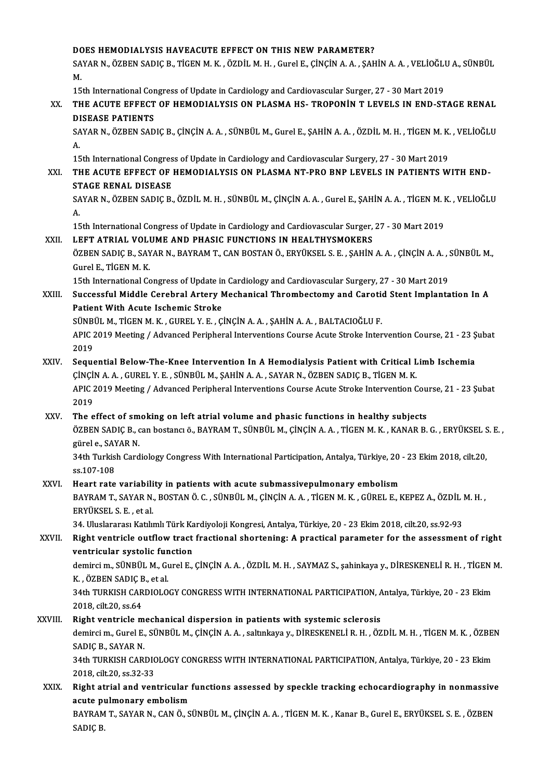#### DOES HEMODIALYSIS HAVEACUTE EFFECT ON THIS NEWPARAMETER?

DOES HEMODIALYSIS HAVEACUTE EFFECT ON THIS NEW PARAMETER?<br>SAYAR N., ÖZBEN SADIÇ B., TİGEN M. K. , ÖZDİL M. H. , Gurel E., ÇİNÇİN A. A. , ŞAHİN A. A. , VELİOĞLU A., SÜNBÜL<br>M DC<br>SA<br>M. SAYAR N., ÖZBEN SADIÇ B., TİGEN M. K. , ÖZDİL M. H. , Gurel E., ÇİNÇİN A. A. , ŞAHİN A. A. , VELİOĞLI<br>M.<br>15th International Congress of Update in Cardiology and Cardiovascular Surger, 27 - 30 Mart 2019<br>THE ACUTE EEEECT OF

15th International Congress of Update in Cardiology and Cardiovascular Surger, 27 - 30 Mart 2019

## M.<br>15th International Congress of Update in Cardiology and Cardiovascular Surger, 27 - 30 Mart 2019<br>XX. THE ACUTE EFFECT OF HEMODIALYSIS ON PLASMA HS- TROPONIN T LEVELS IN END-STAGE RENAL<br>DISEASE PATIENTS THE ACUTE EFFECT OF HEMODIALYSIS ON PLASMA HS- TROPONİN T LEVELS IN END-STAGE RENAL<br>DISEASE PATIENTS<br>SAYAR N., ÖZBEN SADIÇ B., ÇİNÇİN A. A. , SÜNBÜL M., Gurel E., ŞAHİN A. A. , ÖZDİL M. H. , TİGEN M. K. , VELİOĞLU<br>A

DI<br>SA<br>A. SAYAR N., ÖZBEN SADIÇ B., ÇİNÇİN A. A. , SÜNBÜL M., Gurel E., ŞAHİN A. A. , ÖZDİL M. H. , TİGEN M. K.<br>A.<br>15th International Congress of Update in Cardiology and Cardiovascular Surgery, 27 - 30 Mart 2019<br>THE ACUTE EEEECT OF

15th International Congress of Update in Cardiology and Cardiovascular Surgery, 27 - 30 Mart 2019

## A.<br>15th International Congress of Update in Cardiology and Cardiovascular Surgery, 27 - 30 Mart 2019<br>XXI. THE ACUTE EFFECT OF HEMODIALYSIS ON PLASMA NT-PRO BNP LEVELS IN PATIENTS WITH END-<br>STAGE RENAL DISEASE

SAYAR N., ÖZBEN SADIÇ B., ÖZDİL M. H. , SÜNBÜL M., ÇİNÇİN A. A. , Gurel E., ŞAHİN A. A. , TİGEN M. K. , VELİOĞLU<br>A. ST<br>SA<br>A.

15th International Congress of Update in Cardiology and Cardiovascular Surger, 27 - 30 Mart 2019

#### XXII. LEFT ATRIAL VOLUME AND PHASIC FUNCTIONS IN HEALTHYSMOKERS

15th International Congress of Update in Cardiology and Cardiovascular Surger, 27 - 30 Mart 2019<br>LEFT ATRIAL VOLUME AND PHASIC FUNCTIONS IN HEALTHYSMOKERS<br>ÖZBEN SADIÇ B., SAYAR N., BAYRAM T., CAN BOSTAN Ö., ERYÜKSEL S. E. LEFT ATRIAL VOLI<br>ÖZBEN SADIÇ B., SAY<br>Gurel E., TİGEN M. K.<br>15th International Co ÖZBEN SADIÇ B., SAYAR N., BAYRAM T., CAN BOSTAN Ö., ERYÜKSEL S. E. , ŞAHİN A. A. , ÇİNÇİN A. A. , ;<br>Gurel E., TİGEN M. K.<br>15th International Congress of Update in Cardiology and Cardiovascular Surgery, 27 - 30 Mart 2019<br>Su

## Gurel E., TİGEN M. K.<br>15th International Congress of Update in Cardiology and Cardiovascular Surgery, 27 - 30 Mart 2019<br>XXIII. Successful Middle Cerebral Artery Mechanical Thrombectomy and Carotid Stent Implantation In 15th International Congress of Update in<br>Successful Middle Cerebral Artery N<br>Patient With Acute Ischemic Stroke<br>SÜNPÜLM TIGENM V. GUBELV E. G Successful Middle Cerebral Artery Mechanical Thrombectomy and Carotic<br>Patient With Acute Ischemic Stroke<br>SÜNBÜL M., TİGEN M. K. , GUREL Y. E. , ÇİNÇİN A. A. , ŞAHİN A. A. , BALTACIOĞLU F.<br>APIC 2019 Meeting / Advanced Perip

Patient With Acute Ischemic Stroke<br>SÜNBÜL M., TİGEN M. K. , GUREL Y. E. , ÇİNÇİN A. A. , ŞAHİN A. A. , BALTACIOĞLU F.<br>APIC 2019 Meeting / Advanced Peripheral Interventions Course Acute Stroke Intervention Course, 21 - 23 Ş SÜNBI<br>APIC 2<br>2019<br>Seave

### XXIV. Sequential Below-The-Knee Intervention In A Hemodialysis Patient with Critical Limb Ischemia 2019<br>Sequential Below-The-Knee Intervention In A Hemodialysis Patient with Critical L<br>ÇİNÇİN A.A., GUREL Y.E., SÜNBÜL M., ŞAHİN A.A., SAYAR N., ÖZBEN SADIÇ B., TİGEN M.K.<br>ARIÇ 2019 Meeting / Advanced Perinberal Interventio APIC 2019 Meeting / Advanced Peripheral Interventions Course Acute Stroke Intervention Course, 21 - 23 Şubat 2019 CINCI<br>APIC 2<br>2019<br>The e

### XXV. The effect of smoking on left atrial volume and phasic functions in healthy subjects 2019<br>The effect of smoking on left atrial volume and phasic functions in healthy subjects<br>ÖZBEN SADIÇ B., can bostancı ö., BAYRAM T., SÜNBÜL M., ÇİNÇİN A. A. , TİGEN M. K. , KANAR B. G. , ERYÜKSEL S. E. ,<br>Türel 9. SAYAR N The effect of sm<br>ÖZBEN SADIÇ B., c<br>gürel e., SAYAR N.<br>24th Turkish Card

ÖZBEN SADIÇ B., can bostancı ö., BAYRAM T., SÜNBÜL M., ÇİNÇİN A. A. , TİGEN M. K. , KANAR B. G. , ERYÜKSEL S<br>gürel e., SAYAR N.<br>34th Turkish Cardiology Congress With International Participation, Antalya, Türkiye, 20 - 23 E gürel e., SAYAR N.<br>34th Turkish Cardiology Congress With International Participation, Antalya, Türkiye, 20 - 23 Ekim 2018, cilt.20,<br>ss.107-108 34th Turkish Cardiology Congress With International Participation, Antalya, Türkiye, 20<br>SS.107-108<br>XXVI. Heart rate variability in patients with acute submassivepulmonary embolism<br>RAXIPAM T. SAXAR N. ROSTAN Ö.C. SÜNRÜLM Cİ

## ss.107-108<br>Heart rate variability in patients with acute submassivepulmonary embolism<br>BAYRAM T., SAYAR N., BOSTAN Ö. C. , SÜNBÜL M., ÇİNÇİN A. A. , TİGEN M. K. , GÜREL E., KEPEZ A., ÖZDİL M. H. ,<br>FRYÜKSEL S. E., et al Heart rate variabili<br>BAYRAM T., SAYAR N.<br>ERYÜKSEL S. E. , et al.<br>24. Uluelerares: Katlu BAYRAM T., SAYAR N., BOSTAN Ö. C. , SÜNBÜL M., ÇİNÇİN A. A. , TİGEN M. K. , GÜREL E., KEPEZ A., ÖZDİL I<br>ERYÜKSEL S. E. , et al.<br>34. Uluslararası Katılımlı Türk Kardiyoloji Kongresi, Antalya, Türkiye, 20 - 23 Ekim 2018, cil

## ERYÜKSEL S. E. , et al.<br>34. Uluslararası Katılımlı Türk Kardiyoloji Kongresi, Antalya, Türkiye, 20 - 23 Ekim 2018, cilt.20, ss.92-93<br>XXVII. Right ventricle outflow tract fractional shortening: A practical parameter for 34. Uluslararası Katılımlı Türk Ka<br>Right ventricle outflow tract<br>ventricular systolic function<br>demirgi m. SÜNPÜL M. Curel F Right ventricle outflow tract fractional shortening: A practical parameter for the assessment of right<br>ventricular systolic function<br>demirci m., SÜNBÜL M., Gurel E., ÇİNÇİN A.A. , ÖZDİL M. H. , SAYMAZ S., şahinkaya y., DİR

ventricular systolic function<br>demirci m., SÜNBÜL M., Gurel E., ÇİNÇİN A. A. , ÖZDİL M. H. , SAYMAZ S., şahinkaya y., DİRESKENELİ R. H. , TİGEN M.<br>K. , ÖZBEN SADIÇ B., et al. demirci m., SÜNBÜL M., Gurel E., ÇİNÇİN A. A. , ÖZDİL M. H. , SAYMAZ S., şahinkaya y., DİRESKENELİ R. H. , TİGEN I<br>K. , ÖZBEN SADIÇ B., et al.<br>34th TURKISH CARDIOLOGY CONGRESS WITH INTERNATIONAL PARTICIPATION, Antalya, Tür

K. , ÖZBEN SADIÇ E<br>34th TURKISH CAR<br>2018, cilt.20, ss.64<br>Bight vontriske m 34th TURKISH CARDIOLOGY CONGRESS WITH INTERNATIONAL PARTICIPATION, A<br>2018, cilt.20, ss.64<br>XXVIII. Right ventricle mechanical dispersion in patients with systemic sclerosis<br>doming m. Gurel E. SÜNPÜLM CINGNAA, coltrigue y. D

2018, cilt.20, ss.64<br>Right ventricle mechanical dispersion in patients with systemic sclerosis<br>demirci m., Gurel E., SÜNBÜL M., ÇİNÇİN A. A. , saltınkaya y., DİRESKENELİ R. H. , ÖZDİL M. H. , TİGEN M. K. , ÖZBEN<br>SADIÇ P. S Right ventricle mechanical dispersion in patients with systemic sclerosis<br>demirci m., Gurel E., SÜNBÜL M., ÇİNÇİN A. A. , saltınkaya y., DİRESKENELİ R. H. , ÖZ<br>SADIC B., SAYAR N. demirci m., Gurel E., SÜNBÜL M., ÇİNÇİN A. A. , saltınkaya y., DİRESKENELİ R. H. , ÖZDİL M. H. , TİGEN M. K. , ÖZBEI<br>SADIÇ B., SAYAR N.<br>34th TURKISH CARDIOLOGY CONGRESS WITH INTERNATIONAL PARTICIPATION, Antalya, Türkiye, 2

34th TURKISH CARDIOLOGY CONGRESS WITH INTERNATIONAL PARTICIPATION, Antalya, Türkiye, 20 - 23 Ekim<br>2018, cilt.20, ss.32-33 34th TURKISH CARDIOLOGY CONGRESS WITH INTERNATIONAL PARTICIPATION, Antalya, Türkiye, 20 - 23 Ekim<br>2018, cilt.20, ss.32-33<br>XXIX. Right atrial and ventricular functions assessed by speckle tracking echocardiography in nonmas

## 2018, cilt.20, ss.32-33<br>Right atrial and ventricular<br>acute pulmonary embolism<br>BAVRAM T. SAVAR N. CANÖ S. Right atrial and ventricular functions assessed by speckle tracking echocardiography in nonmassive<br>acute pulmonary embolism<br>BAYRAM T., SAYAR N., CAN Ö., SÜNBÜL M., ÇİNÇİN A. A. , TİGEN M. K. , Kanar B., Gurel E., ERYÜKSEL

acute pulmonary embolism<br>BAYRAM T., SAYAR N., CAN Ö., SÜNBÜL M., ÇİNÇİN A. A. , TİGEN M. K. , Kanar B., Gurel E., ERYÜKSEL S. E. , ÖZBEN<br>SADIÇ B.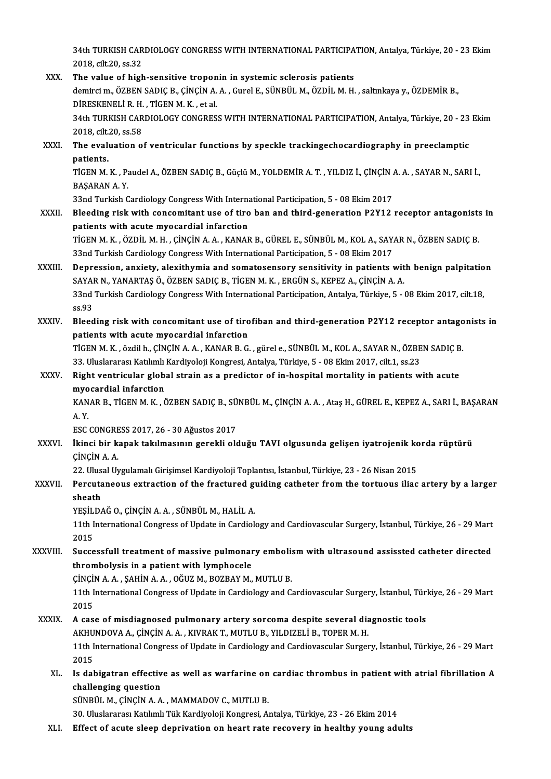34th TURKISH CARDIOLOGY CONGRESS WITH INTERNATIONAL PARTICIPATION, Antalya, Türkiye, 20 - 23 Ekim<br>2018. silt 30, ss <sup>22</sup> 34th TURKISH CAR<br>2018, cilt.20, ss.32<br>The value of high 34th TURKISH CARDIOLOGY CONGRESS WITH INTERNATIONAL PARTICIPA<br>2018, cilt.20, ss.32<br>XXX. The value of high-sensitive troponin in systemic sclerosis patients<br>doming m. ÖZPEN SADIC B. CUNCIN A.A. Cural E. SÜNPÜL M. ÖZDİL M.H.

2018, cilt.20, ss.32<br>The value of high-sensitive troponin in systemic sclerosis patients<br>demirci m., ÖZBEN SADIÇ B., ÇİNÇİN A. A. , Gurel E., SÜNBÜL M., ÖZDİL M. H. , saltınkaya y., ÖZDEMİR B.,<br>DİRESKENELİ R. H., TİCEN M. The value of high-sensitive tropon<br>demirci m., ÖZBEN SADIÇ B., ÇİNÇİN A.<br>DİRESKENELİ R. H. , TİGEN M. K. , et al.<br>24th TURKISH CARDIQLOCY CONCRES. demirci m., ÖZBEN SADIÇ B., ÇİNÇİN A. A. , Gurel E., SÜNBÜL M., ÖZDİL M. H. , saltınkaya y., ÖZDEMİR B.,<br>DİRESKENELİ R. H. , TİGEN M. K. , et al.<br>34th TURKISH CARDIOLOGY CONGRESS WITH INTERNATIONAL PARTICIPATION, Antalya, DIRESKENELI R. H.<br>34th TURKISH CAR<br>2018, cilt.20, ss.58<br>The evaluation a 34th TURKISH CARDIOLOGY CONGRESS WITH INTERNATIONAL PARTICIPATION, Antalya, Türkiye, 20 - 23<br>2018, cilt.20, ss.58<br>XXXI. The evaluation of ventricular functions by speckle trackingechocardiography in preeclamptic<br>nationts 2018, cilt.20, ss.58<br>The evaluation of ventricular functions by speckle trackingechocardiography in preeclamptic<br>patients. The evaluation of ventricular functions by speckle trackingechocardiography in preeclamptic<br>patients.<br>TİGEN M. K. , Paudel A., ÖZBEN SADIÇ B., Güçlü M., YOLDEMİR A. T. , YILDIZ İ., ÇİNÇİN A. A. , SAYAR N., SARI İ.,<br>RASARAN patients<br>TIGEN M. K. , P.<br>BAŞARAN A. Y.<br>22nd Turkich C TİGEN M. K. , Paudel A., ÖZBEN SADIÇ B., Güçlü M., YOLDEMİR A. T. , YILDIZ İ., ÇİNÇİN *ı*<br>BAŞARAN A. Y.<br>33nd Turkish Cardiology Congress With International Participation, 5 - 08 Ekim 2017<br>Plaading riak with cancemitant use BAŞARAN A. Y.<br>33nd Turkish Cardiology Congress With International Participation, 5 - 08 Ekim 2017<br>XXXII. Bleeding risk with concomitant use of tiro ban and third-generation P2Y12 receptor antagonists in patients with acute myocardial infarction Bleeding risk with concomitant use of tiro ban and third-generation P2Y12 receptor antagonists<br>patients with acute myocardial infarction<br>TİGEN M. K. , ÖZDİL M. H. , ÇİNÇİN A. A. , KANAR B., GÜREL E., SÜNBÜL M., KOL A., SAY patients with acute myocardial infarction<br>TiGEN M. K. , ÖZDİL M. H. , ÇİNÇİN A. A. , KANAR B., GÜREL E., SÜNBÜL M., KOL A., SAY.<br>33nd Turkish Cardiology Congress With International Participation, 5 - 08 Ekim 2017<br>Penressia TİGEN M. K., ÖZDİL M. H., ÇİNÇİN A. A., KANAR B., GÜREL E., SÜNBÜL M., KOL A., SAYAR N., ÖZBEN SADIÇ B.<br>33nd Turkish Cardiology Congress With International Participation, 5 - 08 Ekim 2017<br>XXXIII. Depression, anxiety, alexi 33nd Turkish Cardiology Congress With International Participation, 5 - 08 Ekim 2017<br>Depression, anxiety, alexithymia and somatosensory sensitivity in patients with benign palpitation<br>SAYAR N., YANARTAS Ö., ÖZBEN SADIC B., Depression, anxiety, alexithymia and somatosensory sensitivity in patients with benign palpitatio<br>SAYAR N., YANARTAŞ Ö., ÖZBEN SADIÇ B., TİGEN M. K. , ERGÜN S., KEPEZ A., ÇİNÇİN A. A.<br>33nd Turkish Cardiology Congress With SAYA<br>33nd<br>ss.93<br>Blood 33nd Turkish Cardiology Congress With International Participation, Antalya, Türkiye, 5 - 08 Ekim 2017, cilt.18,<br>ss.93<br>XXXIV. Bleeding risk with concomitant use of tirofiban and third-generation P2Y12 receptor antagonists i ss.93<br>Bleeding risk with concomitant use of tirofiban and third-generation P2Y12 receptor antagonists in<br>patients with acute myocardial infarction Bleeding risk with concomitant use of tirofiban and third-generation P2Y12 receptor antago<br>patients with acute myocardial infarction<br>TİGEN M. K. , özdilh., ÇİNÇİN A. A. , KANAR B. G. , gürel e., SÜNBÜL M., KOL A., SAYAR N. patients with acute myocardial infarction<br>TİGEN M. K. , özdil h., ÇİNÇİN A. A. , KANAR B. G. , gürel e., SÜNBÜL M., KOL A., SAYAR N., ÖZBE<br>33. Uluslararası Katılımlı Kardiyoloji Kongresi, Antalya, Türkiye, 5 - 08 Ekim 2017 TİGEN M. K. , özdil h., ÇİNÇİN A. A. , KANAR B. G. , gürel e., SÜNBÜL M., KOL A., SAYAR N., ÖZBEN SADIÇ B<br>33. Uluslararası Katılımlı Kardiyoloji Kongresi, Antalya, Türkiye, 5 - 08 Ekim 2017, cilt.1, ss.23<br>XXXV. Right ventr 33. Uluslararası Katılımlı Kardiyoloji Kongresi, Antalya, Türkiye, 5 - 08 Ekim 2017, cilt.1, ss.23<br>Right ventricular global strain as a predictor of in-hospital mortality in patients with acute<br>myocardial infarction Right ventricular global strain as a predictor of in-hospital mortality in patients with acute<br>myocardial infarction<br>KANAR B., TİGEN M. K. , ÖZBEN SADIÇ B., SÜNBÜL M., ÇİNÇİN A. A. , Ataş H., GÜREL E., KEPEZ A., SARI İ., B myo<br>KAN<br>A.Y. KANAR B., TİGEN M. K. , ÖZBEN SADIÇ B., SÜ<br>A. Y.<br>ESC CONGRESS 2017, 26 - 30 Ağustos 2017<br>İkingi bir kanak takılmasının ganaklı als A. Y.<br>ESC CONGRESS 2017, 26 - 30 Ağustos 2017<br>XXXVI. İkinci bir kapak takılmasının gerekli olduğu TAVI olgusunda gelişen iyatrojenik korda rüptürü<br>CİNCİN A. A. ESC CONGRE<br>İkinci bir k.<br>ÇİNÇİN A. A.<br>22. Ulusal Ur İkinci bir kapak takılmasının gerekli olduğu TAVI olgusunda gelişen iyatrojenik ko<br>ÇİNÇİN A. A.<br>22. Ulusal Uygulamalı Girişimsel Kardiyoloji Toplantısı, İstanbul, Türkiye, 23 - 26 Nisan 2015<br>Bergutaneoya avtrastian of the XXXVII. Percutaneous extraction of the fractured guiding catheter from the tortuous iliac artery by a larger<br>sheath 22. Ulus<br><mark>Percuta</mark><br>sheath<br>v<u>esit D</u> Percutaneous extraction of the fractured g<br>sheath<br>YEŞİLDAĞ O., ÇİNÇİN A.A. , SÜNBÜL M., HALİL A.<br>11th International Congress of Undate in Condial. 11th International Congress of Update in Cardiology and Cardiovascular Surgery, İstanbul, Türkiye, 26 - 29 Mart<br>2015 YEŞİL<br>11th I<br>2015<br>Sussa 11th International Congress of Update in Cardiology and Cardiovascular Surgery, İstanbul, Türkiye, 26 - 29 Mart<br>2015<br>XXXVIII. Successfull treatment of massive pulmonary embolism with ultrasound assissted catheter directed<br> 2015<br>Successfull treatment of massive pulmonar<br>thrombolysis in a patient with lymphocele<br>CINCIN A A. SAHIN A A. QČUZ M. POZPAY M Successfull treatment of massive pulmonary embolist<br>thrombolysis in a patient with lymphocele<br>ÇİNÇİN A.A., ŞAHİN A.A., OĞUZ M., BOZBAY M., MUTLU B.<br>11th International Congress of Undate in Cardialegy and C thrombolysis in a patient with lymphocele<br>ÇİNÇİN A. A. , ŞAHİN A. A. , OĞUZ M., BOZBAY M., MUTLU B.<br>11th International Congress of Update in Cardiology and Cardiovascular Surgery, İstanbul, Türkiye, 26 - 29 Mart<br>2015 cincil<br>11th I<br>2015 11th International Congress of Update in Cardiology and Cardiovascular Surgery, İstanbul, Türl<br>2015<br>XXXIX. A case of misdiagnosed pulmonary artery sorcoma despite several diagnostic tools<br>A EUINDOVA A CINCIN A A EUINAAT MU 2015<br>A case of misdiagnosed pulmonary artery sorcoma despite several diagnostic tools 11th International Congress of Update in Cardiology and Cardiovascular Surgery, İstanbul, Türkiye, 26 - 29 Mart<br>2015 AKHUNDOVA A., ÇİNÇİN A. A., KIVRAK T., MUTLU B., YILDIZELİ B., TOPER M. H. 11th International Congress of Update in Cardiology and Cardiovascular Surgery, İstanbul, Türkiye, 26 - 29 Mart<br>2015<br>XL. Is dabigatran effective as well as warfarine on cardiac thrombus in patient with atrial fibrillation 2015<br>Is dabigatran effectiv<br>challenging question<br>SÜNPÜL M. CİNCİN A.A Is dabigatran effective as well as warfarine on<br>challenging question<br>SÜNBÜL M., ÇİNÇİN A.A., MAMMADOV C., MUTLU B.<br>20 Uluelereres Katılmlı Tük Kardiyeleji Kansresi, A. challenging question<br>30.Uluslararası Katılımlı Tük Kardiyoloji Kongresi, Antalya, Türkiye, 23 - 26 Ekim 2014<br>30. Uluslararası Katılımlı Tük Kardiyoloji Kongresi, Antalya, Türkiye, 23 - 26 Ekim 2014 XLI. Effect of acute sleep deprivation on heart rate recovery in healthy young adults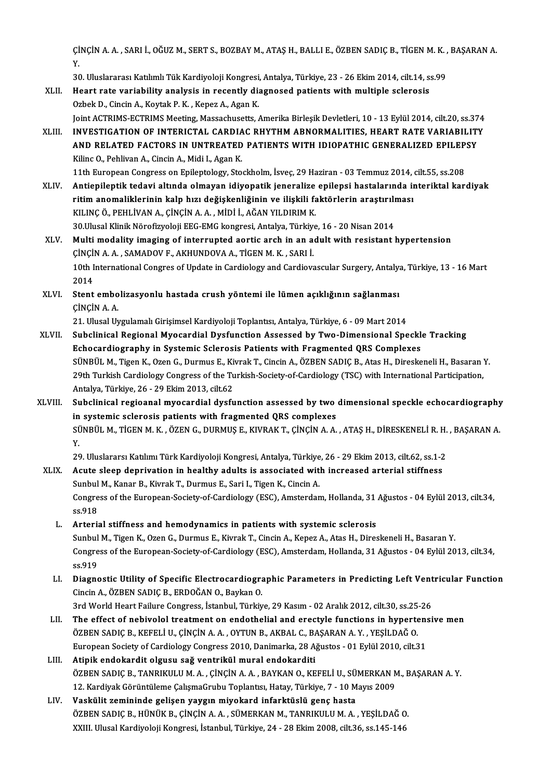ÇİNÇİN A. A. , SARI İ., OĞUZ M., SERT S., BOZBAY M., ATAŞ H., BALLI E., ÖZBEN SADIÇ B., TİGEN M. K. , BAŞARAN A.<br>Y Y. ÇİNÇİN A. A. , SARI İ., OĞUZ M., SERT S., BOZBAY M., ATAŞ H., BALLI E., ÖZBEN SADIÇ B., TİGEN M. K. ,<br>Y.<br>30. Uluslararası Katılımlı Tük Kardiyoloji Kongresi, Antalya, Türkiye, 23 - 26 Ekim 2014, cilt.14, ss.99<br>Heart rata y

Y.<br>30. Uluslararası Katılımlı Tük Kardiyoloji Kongresi, Antalya, Türkiye, 23 - 26 Ekim 2014, cilt.14, s.<br>XLII. Heart rate variability analysis in recently diagnosed patients with multiple sclerosis<br>Orbek D. Ginsin A. K 30. Uluslararası Katılımlı Tük Kardiyoloji Kongresi<br>Heart rate variability analysis in recently di:<br>Ozbek D., Cincin A., Koytak P. K. , Kepez A., Agan K.<br>Joint ACTPIMS ECTPIMS Mosting Massachusetts Heart rate variability analysis in recently diagnosed patients with multiple sclerosis<br>Ozbek D., Cincin A., Koytak P. K. , Kepez A., Agan K.<br>Joint ACTRIMS-ECTRIMS Meeting, Massachusetts, Amerika Birleşik Devletleri, 10 - 1 Ozbek D., Cincin A., Koytak P. K. , Kepez A., Agan K.<br>Joint ACTRIMS-ECTRIMS Meeting, Massachusetts, Amerika Birleşik Devletleri, 10 - 13 Eylül 2014, cilt.20, ss.374<br>AND BELATION OF INTERICTAL CARDIAC RHYTHM ABNORMALITIES, Joint ACTRIMS-ECTRIMS Meeting, Massachusetts, Amerika Birleşik Devletleri, 10 - 13 Eylül 2014, cilt.20, ss.37<br>INVESTIGATION OF INTERICTAL CARDIAC RHYTHM ABNORMALITIES, HEART RATE VARIABILITY<br>AND RELATED FACTORS IN UNTREATE INVESTIGATION OF INTERICTAL CARDIAC RHYTHM ABNORMALITIES, HEART RATE VARIABILITY<br>AND RELATED FACTORS IN UNTREATED PATIENTS WITH IDIOPATHIC GENERALIZED EPILEPSY<br>Kilinc O., Pehlivan A., Cincin A., Midi I., Agan K. 11th European Congress on Epileptology, Stockholm, İsveç, 29 Haziran - 03 Temmuz 2014, cilt.55, ss.208 Kilinc O., Pehlivan A., Cincin A., Midi I., Agan K.<br>11th European Congress on Epileptology, Stockholm, İsveç, 29 Haziran - 03 Temmuz 2014, cilt.55, ss.208<br>XLIV. Antiepileptik tedavi altında olmayan idiyopatik jeneralize ep 11th European Congress on Epileptology, Stockholm, İsveç, 29 Haziran - 03 Temmuz 2014, .<br>Antiepileptik tedavi altında olmayan idiyopatik jeneralize epilepsi hastalarında in<br>ritim anomaliklerinin kalp hızı değişkenliğinin v Antiepileptik tedavi altında olmayan idiyopatik jeneralize<br>ritim anomaliklerinin kalp hızı değişkenliğinin ve ilişkili fa<br>KILINÇ Ö., PEHLİVAN A., ÇİNÇİN A. A. , MİDİ İ., AĞAN YILDIRIM K.<br>20 Ulyasl Klipik Nörofizyoloji EEC ritim anomaliklerinin kalp hızı değişkenliğinin ve ilişkili faktörlerin araştırılı<br>KILINÇ Ö., PEHLİVAN A., ÇİNÇİN A. A. , MİDİ İ., AĞAN YILDIRIM K.<br>30.Ulusal Klinik Nörofizyoloji EEG-EMG kongresi, Antalya, Türkiye, 16 - 20 KILINÇ Ö., PEHLİVAN A., ÇİNÇİN A. A. , MİDİ İ., AĞAN YILDIRIM K.<br>30.Ulusal Klinik Nörofizyoloji EEG-EMG kongresi, Antalya, Türkiye, 16 - 20 Nisan 2014<br>XLV. Multi modality imaging of interrupted aortic arch in an adult 30.Ulusal Klinik Nörofizyoloji EEG-EMG kongresi, Antalya, Türkiyo<br>Multi modality imaging of interrupted aortic arch in an a<br>ÇİNÇİN A. A. , SAMADOV F., AKHUNDOVA A., TİGEN M. K. , SARI İ.<br>10th International Congres of Undat 10th International Congres of Update in Cardiology and Cardiovascular Surgery, Antalya, Türkiye, 13 - 16 Mart<br>2014 ÇİNÇİN A. A., SAMADOV F., AKHUNDOVA A., TİGEN M. K., SARI İ. 10th International Congres of Update in Cardiology and Cardiovascular Surgery, Antalya<br>2014<br>XLVI. Stent embolizasyonlu hastada crush yöntemi ile lümen açıklığının sağlanması<br>CINCIN A.A 2014<br>Stent embo<br>ÇİNÇİN A. A.<br>21 Hiyel Hr Stent embolizasyonlu hastada crush yöntemi ile lümen açıklığının sağlanması<br>ÇİNÇİN A. A.<br>21. Ulusal Uygulamalı Girişimsel Kardiyoloji Toplantısı, Antalya, Türkiye, 6 - 09 Mart 2014<br>Subelinisal Bagianal Muesardial Dusfunsti CINCIN A. A.<br>21. Ulusal Uygulamalı Girişimsel Kardiyoloji Toplantısı, Antalya, Türkiye, 6 - 09 Mart 2014<br>XLVII. Subclinical Regional Myocardial Dysfunction Assessed by Two-Dimensional Speckle Tracking Echocardiography in Systemic Sclerosis Patients with Fragmented QRS Complexes Subclinical Regional Myocardial Dysfunction Assessed by Two-Dimensional Speckle Tracking<br>Echocardiography in Systemic Sclerosis Patients with Fragmented QRS Complexes<br>SÜNBÜL M., Tigen K., Ozen G., Durmus E., Kivrak T., Cin Echocardiography in Systemic Sclerosis Patients with Fragmented QRS Complexes<br>SÜNBÜL M., Tigen K., Ozen G., Durmus E., Kivrak T., Cincin A., ÖZBEN SADIÇ B., Atas H., Direskeneli H., Basaran<br>29th Turkish Cardiology Congress SÜNBÜL M., Tigen K., Ozen G., Durmus E., Ki<br>29th Turkish Cardiology Congress of the Tu<br>Antalya, Türkiye, 26 - 29 Ekim 2013, cilt.62<br>Subelinisal regioonal myasardial dysfu 29th Turkish Cardiology Congress of the Turkish-Society-of-Cardiology (TSC) with International Participation,<br>Antalya, Türkiye, 26 - 29 Ekim 2013, cilt.62<br>XLVIII. Subclinical regioanal myocardial dysfunction assessed by tw Antalya, Türkiye, 26 - 29 Ekim 2013, cilt.62<br>Subclinical regioanal myocardial dysfunction assessed by two<br>in systemic sclerosis patients with fragmented QRS complexes<br>SÜNPÜLM TICENM K. ÖZENC DUPMUS E. KUPAKT, CINCIN A.A. Subclinical regioanal myocardial dysfunction assessed by two dimensional speckle echocardiography<br>in systemic sclerosis patients with fragmented QRS complexes<br>SÜNBÜL M., TİGEN M. K. , ÖZEN G., DURMUŞ E., KIVRAK T., ÇİNÇİN in<br>Sü<br>20 20. SÜNBÜL M., TİGEN M. K. , ÖZEN G., DURMUŞ E., KIVRAK T., ÇİNÇİN A. A. , ATAŞ H., DİRESKENELİ R. H.<br>29. Uluslararsı Katılımı Türk Kardiyoloji Kongresi, Antalya, Türkiye, 26 - 29 Ekim 2013, cilt.62, ss.1-2<br>Aqute alaan dan Y.<br>29. Uluslararsı Katılımı Türk Kardiyoloji Kongresi, Antalya, Türkiye, 26 - 29 Ekim 2013, cilt.62, ss.1-2<br>XLIX. Acute sleep deprivation in healthy adults is associated with increased arterial stiffness<br>Sunbul M. Kanar B. 29. Uluslararsı Katılımı Türk Kardiyoloji Kongresi, Antalya, Türkiye<br>Acute sleep deprivation in healthy adults is associated with<br>Sunbul M., Kanar B., Kivrak T., Durmus E., Sari I., Tigen K., Cincin A.<br>Congress of the Euro Acute sleep deprivation in healthy adults is associated with increased arterial stiffness<br>Sunbul M., Kanar B., Kivrak T., Durmus E., Sari I., Tigen K., Cincin A.<br>Congress of the European-Society-of-Cardiology (ESC), Amster Sunbul M., Kanar B., Kivrak T., Durmus E., Sari I., Tigen K., Cincin A.<br>Congress of the European-Society-of-Cardiology (ESC), Amsterdam, Hollanda, 31<br>ss.918<br>L. Arterial stiffness and hemodynamics in patients with systemic Congress of the European-Society-of-Cardiology (ESC), Amsterdam, Hollanda, 31<br>ss.918<br>L. Arterial stiffness and hemodynamics in patients with systemic sclerosis<br>Supper L. Arterial Stiffness and hemodynamics in patients with Sunbul M., Tigen K., Ozen G., Durmus E., Kivrak T., Cincin A., Kepez A., Atas H., Direskeneli H., Basaran Y. Arterial stiffness and hemodynamics in patients with systemic sclerosis<br>Sunbul M., Tigen K., Ozen G., Durmus E., Kivrak T., Cincin A., Kepez A., Atas H., Direskeneli H., Basaran Y.<br>Congress of the European-Society-of-Cardi Sunbul<br>Congre<br>ss.919<br>Diagna Congress of the European-Society-of-Cardiology (ESC), Amsterdam, Hollanda, 31 Ağustos - 04 Eylül 2013, cilt.34,<br>ss.919<br>LI. Diagnostic Utility of Specific Electrocardiographic Parameters in Predicting Left Ventricular Funct ss.919<br>LI. Diagnostic Utility of Specific Electrocardiographic Parameters in Predicting Left Ventricular Function<br>Cincin A., ÖZBEN SADIÇ B., ERDOĞAN O., Baykan O. Diagnostic Utility of Specific Electrocardiographic Parameters in Predicting Left Vent<br>Cincin A., ÖZBEN SADIÇ B., ERDOĞAN O., Baykan O.<br>3rd World Heart Failure Congress, İstanbul, Türkiye, 29 Kasım - 02 Aralık 2012, cilt.3 Cincin A., ÖZBEN SADIÇ B., ERDOĞAN O., Baykan O.<br>3rd World Heart Failure Congress, İstanbul, Türkiye, 29 Kasım - 02 Aralık 2012, cilt.30, ss.25-26<br>LII. The effect of nebivolol treatment on endothelial and erectyle function 3rd World Heart Failure Congress, İstanbul, Türkiye, 29 Kasım - 02 Aralık 2012, cilt.30, ss.25<br>The effect of nebivolol treatment on endothelial and erectyle functions in hyperte<br>ÖZBEN SADIÇ B., KEFELİ U., ÇİNÇİN A.A. , OYT The effect of nebivolol treatment on endothelial and erectyle functions in hypertens<br>ÖZBEN SADIÇ B., KEFELİ U., ÇİNÇİN A. A. , OYTUN B., AKBAL C., BAŞARAN A. Y. , YEŞİLDAĞ O.<br>European Society of Cardiology Congress 2010, D ÖZBEN SADIÇ B., KEFELİ U., ÇİNÇİN A. A. , OYTUN B., AKBAL C., BAŞARAN A. Y. , YEŞİLDAĞ O.<br>European Society of Cardiology Congress 2010, Danimarka, 28 Ağustos - 01 Eylül 2010, cilt.31<br>LIII. Atipik endokardit olgusu sağ European Society of Cardiology Congress 2010, Danimarka, 28 Ağustos - 01 Eylül 2010, cilt.31<br><mark>Atipik endokardit olgusu sağ ventrikül mural endokarditi</mark><br>ÖZBEN SADIÇ B., TANRIKULU M. A. , ÇİNÇİN A. A. , BAYKAN O., KEFELİ U., Atipik endokardit olgusu sağ ventrikül mural endokarditi<br>ÖZBEN SADIÇ B., TANRIKULU M. A. , ÇİNÇİN A. A. , BAYKAN O., KEFELİ U., SÜMERKAN M<br>12. Kardiyak Görüntüleme ÇalışmaGrubu Toplantısı, Hatay, Türkiye, 7 - 10 Mayıs 2009 LIV. Vaskülit zemininde gelişen yaygın miyokard infarktüslü genç hasta<br>ÖZBEN SADIÇ B., HÜNÜK B., ÇİNÇİN A. A., SÜMERKAN M., TANRIKULU M. A., YEŞİLDAĞ O. 12. Kardiyak Görüntüleme ÇalışmaGrubu Toplantısı, Hatay, Türkiye, 7 - 10 Mayıs 2009 XXIII. Ulusal Kardiyoloji Kongresi, İstanbul, Türkiye, 24 - 28 Ekim 2008, cilt.36, ss.145-146